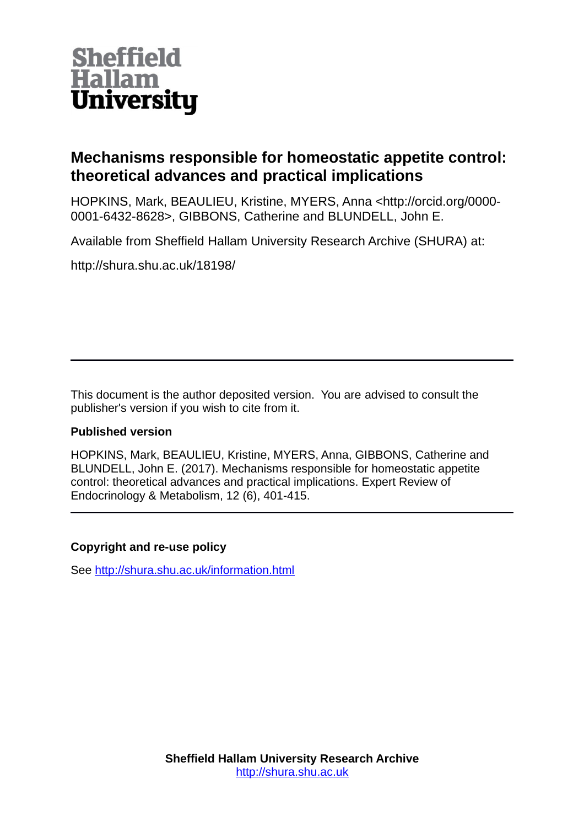

# **Mechanisms responsible for homeostatic appetite control: theoretical advances and practical implications**

HOPKINS, Mark, BEAULIEU, Kristine, MYERS, Anna <http://orcid.org/0000- 0001-6432-8628>, GIBBONS, Catherine and BLUNDELL, John E.

Available from Sheffield Hallam University Research Archive (SHURA) at:

http://shura.shu.ac.uk/18198/

This document is the author deposited version. You are advised to consult the publisher's version if you wish to cite from it.

# **Published version**

HOPKINS, Mark, BEAULIEU, Kristine, MYERS, Anna, GIBBONS, Catherine and BLUNDELL, John E. (2017). Mechanisms responsible for homeostatic appetite control: theoretical advances and practical implications. Expert Review of Endocrinology & Metabolism, 12 (6), 401-415.

# **Copyright and re-use policy**

See<http://shura.shu.ac.uk/information.html>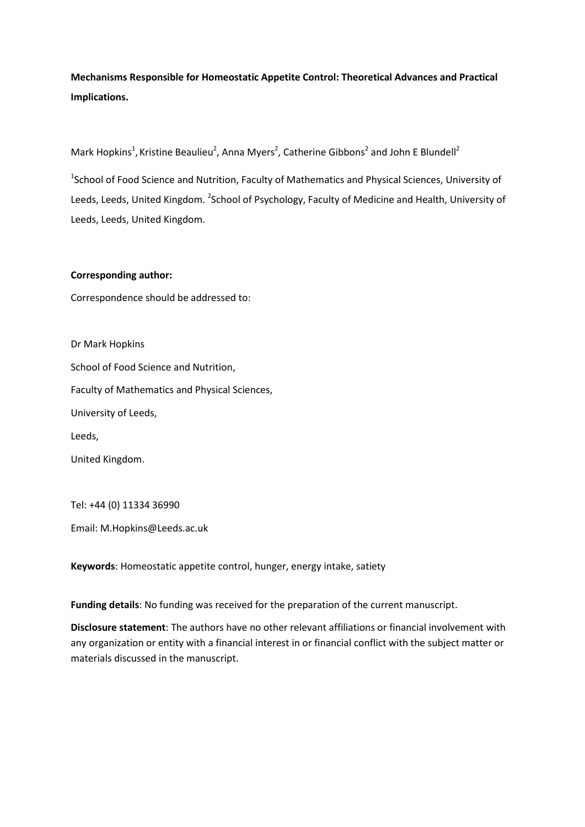**Mechanisms Responsible for Homeostatic Appetite Control: Theoretical Advances and Practical Implications.**

Mark Hopkins<sup>1</sup>, Kristine Beaulieu<sup>2</sup>, Anna Myers<sup>2</sup>, Catherine Gibbons<sup>2</sup> and John E Blundell<sup>2</sup>

<sup>1</sup>School of Food Science and Nutrition, Faculty of Mathematics and Physical Sciences, University of Leeds, Leeds, United Kingdom. <sup>2</sup>School of Psychology, Faculty of Medicine and Health, University of Leeds, Leeds, United Kingdom.

# **Corresponding author:**

Correspondence should be addressed to:

Dr Mark Hopkins School of Food Science and Nutrition, Faculty of Mathematics and Physical Sciences, University of Leeds, Leeds, United Kingdom.

Tel: +44 (0) 11334 36990

Email: [M.Hopkins@Leeds.ac.uk](mailto:M.Hopkins@Leeds.ac.uk)

**Keywords**: Homeostatic appetite control, hunger, energy intake, satiety

**Funding details**: No funding was received for the preparation of the current manuscript.

**Disclosure statement**: The authors have no other relevant affiliations or financial involvement with any organization or entity with a financial interest in or financial conflict with the subject matter or materials discussed in the manuscript.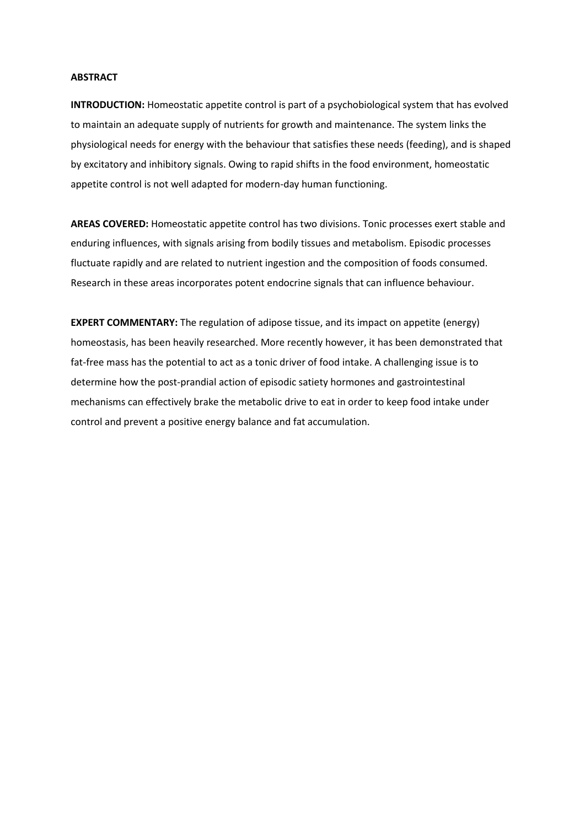# **ABSTRACT**

**INTRODUCTION:** Homeostatic appetite control is part of a psychobiological system that has evolved to maintain an adequate supply of nutrients for growth and maintenance. The system links the physiological needs for energy with the behaviour that satisfies these needs (feeding), and is shaped by excitatory and inhibitory signals. Owing to rapid shifts in the food environment, homeostatic appetite control is not well adapted for modern-day human functioning.

**AREAS COVERED:** Homeostatic appetite control has two divisions. Tonic processes exert stable and enduring influences, with signals arising from bodily tissues and metabolism. Episodic processes fluctuate rapidly and are related to nutrient ingestion and the composition of foods consumed. Research in these areas incorporates potent endocrine signals that can influence behaviour.

**EXPERT COMMENTARY:** The regulation of adipose tissue, and its impact on appetite (energy) homeostasis, has been heavily researched. More recently however, it has been demonstrated that fat-free mass has the potential to act as a tonic driver of food intake. A challenging issue is to determine how the post-prandial action of episodic satiety hormones and gastrointestinal mechanisms can effectively brake the metabolic drive to eat in order to keep food intake under control and prevent a positive energy balance and fat accumulation.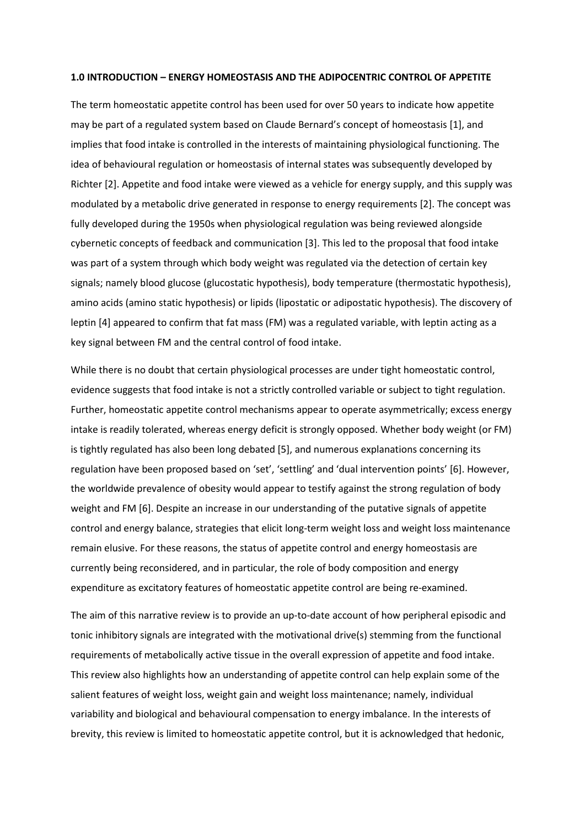#### **1.0 INTRODUCTION – ENERGY HOMEOSTASIS AND THE ADIPOCENTRIC CONTROL OF APPETITE**

The term homeostatic appetite control has been used for over 50 years to indicate how appetite may be part of a regulated system based on Claude Bernard's concept of homeostasis [1], and implies that food intake is controlled in the interests of maintaining physiological functioning. The idea of behavioural regulation or homeostasis of internal states was subsequently developed by Richter [2]. Appetite and food intake were viewed as a vehicle for energy supply, and this supply was modulated by a metabolic drive generated in response to energy requirements [2]. The concept was fully developed during the 1950s when physiological regulation was being reviewed alongside cybernetic concepts of feedback and communication [3]. This led to the proposal that food intake was part of a system through which body weight was regulated via the detection of certain key signals; namely blood glucose (glucostatic hypothesis), body temperature (thermostatic hypothesis), amino acids (amino static hypothesis) or lipids (lipostatic or adipostatic hypothesis). The discovery of leptin [4] appeared to confirm that fat mass (FM) was a regulated variable, with leptin acting as a key signal between FM and the central control of food intake.

While there is no doubt that certain physiological processes are under tight homeostatic control, evidence suggests that food intake is not a strictly controlled variable or subject to tight regulation. Further, homeostatic appetite control mechanisms appear to operate asymmetrically; excess energy intake is readily tolerated, whereas energy deficit is strongly opposed. Whether body weight (or FM) is tightly regulated has also been long debated [5], and numerous explanations concerning its regulation have been proposed based on 'set', 'settling' and 'dual intervention points' [6]. However, the worldwide prevalence of obesity would appear to testify against the strong regulation of body weight and FM [6]. Despite an increase in our understanding of the putative signals of appetite control and energy balance, strategies that elicit long-term weight loss and weight loss maintenance remain elusive. For these reasons, the status of appetite control and energy homeostasis are currently being reconsidered, and in particular, the role of body composition and energy expenditure as excitatory features of homeostatic appetite control are being re-examined.

The aim of this narrative review is to provide an up-to-date account of how peripheral episodic and tonic inhibitory signals are integrated with the motivational drive(s) stemming from the functional requirements of metabolically active tissue in the overall expression of appetite and food intake. This review also highlights how an understanding of appetite control can help explain some of the salient features of weight loss, weight gain and weight loss maintenance; namely, individual variability and biological and behavioural compensation to energy imbalance. In the interests of brevity, this review is limited to homeostatic appetite control, but it is acknowledged that hedonic,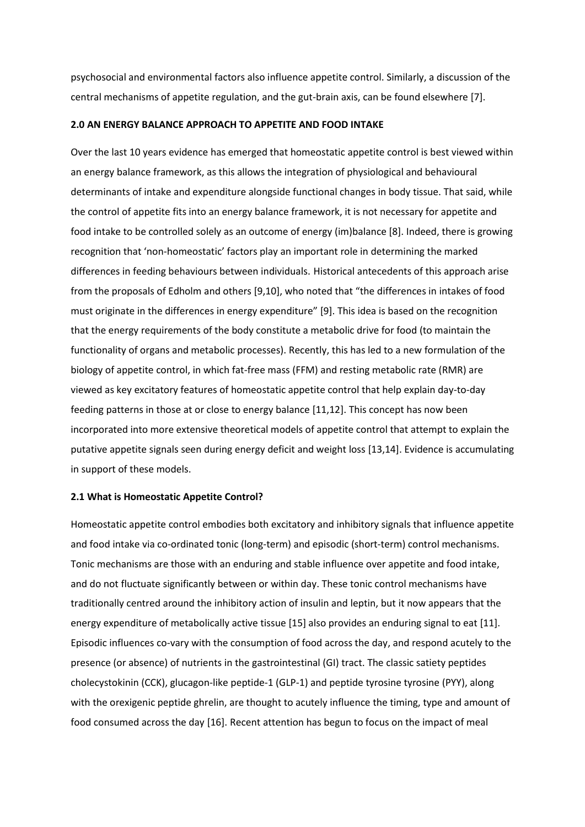psychosocial and environmental factors also influence appetite control. Similarly, a discussion of the central mechanisms of appetite regulation, and the gut-brain axis, can be found elsewhere [7].

# **2.0 AN ENERGY BALANCE APPROACH TO APPETITE AND FOOD INTAKE**

Over the last 10 years evidence has emerged that homeostatic appetite control is best viewed within an energy balance framework, as this allows the integration of physiological and behavioural determinants of intake and expenditure alongside functional changes in body tissue. That said, while the control of appetite fits into an energy balance framework, it is not necessary for appetite and food intake to be controlled solely as an outcome of energy (im)balance [8]. Indeed, there is growing recognition that 'non-homeostatic' factors play an important role in determining the marked differences in feeding behaviours between individuals. Historical antecedents of this approach arise from the proposals of Edholm and others [9,10], who noted that "the differences in intakes of food must originate in the differences in energy expenditure" [9]. This idea is based on the recognition that the energy requirements of the body constitute a metabolic drive for food (to maintain the functionality of organs and metabolic processes). Recently, this has led to a new formulation of the biology of appetite control, in which fat-free mass (FFM) and resting metabolic rate (RMR) are viewed as key excitatory features of homeostatic appetite control that help explain day-to-day feeding patterns in those at or close to energy balance [11,12]. This concept has now been incorporated into more extensive theoretical models of appetite control that attempt to explain the putative appetite signals seen during energy deficit and weight loss [13,14]. Evidence is accumulating in support of these models.

# **2.1 What is Homeostatic Appetite Control?**

Homeostatic appetite control embodies both excitatory and inhibitory signals that influence appetite and food intake via co-ordinated tonic (long-term) and episodic (short-term) control mechanisms. Tonic mechanisms are those with an enduring and stable influence over appetite and food intake, and do not fluctuate significantly between or within day. These tonic control mechanisms have traditionally centred around the inhibitory action of insulin and leptin, but it now appears that the energy expenditure of metabolically active tissue [15] also provides an enduring signal to eat [11]. Episodic influences co-vary with the consumption of food across the day, and respond acutely to the presence (or absence) of nutrients in the gastrointestinal (GI) tract. The classic satiety peptides cholecystokinin (CCK), glucagon-like peptide-1 (GLP-1) and peptide tyrosine tyrosine (PYY), along with the orexigenic peptide ghrelin, are thought to acutely influence the timing, type and amount of food consumed across the day [16]. Recent attention has begun to focus on the impact of meal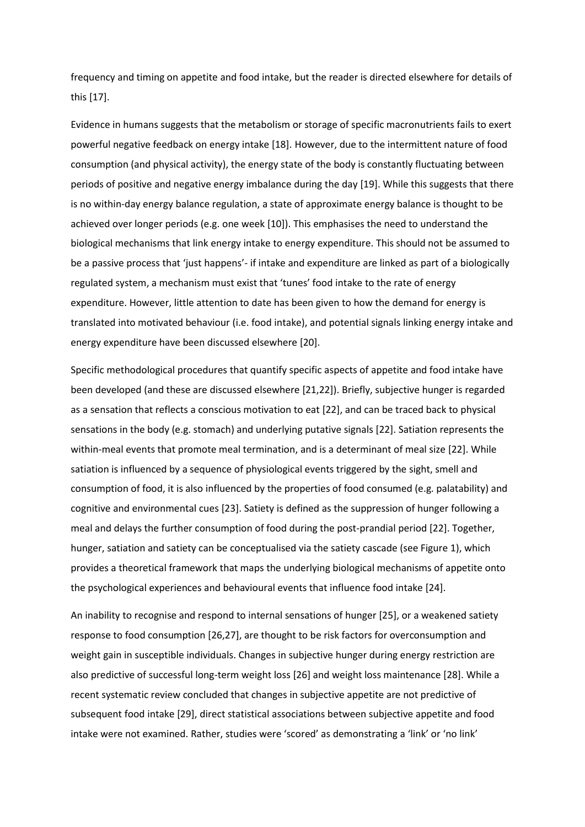frequency and timing on appetite and food intake, but the reader is directed elsewhere for details of this [17].

Evidence in humans suggests that the metabolism or storage of specific macronutrients fails to exert powerful negative feedback on energy intake [18]. However, due to the intermittent nature of food consumption (and physical activity), the energy state of the body is constantly fluctuating between periods of positive and negative energy imbalance during the day [19]. While this suggests that there is no within-day energy balance regulation, a state of approximate energy balance is thought to be achieved over longer periods (e.g. one week [10]). This emphasises the need to understand the biological mechanisms that link energy intake to energy expenditure. This should not be assumed to be a passive process that 'just happens'- if intake and expenditure are linked as part of a biologically regulated system, a mechanism must exist that 'tunes' food intake to the rate of energy expenditure. However, little attention to date has been given to how the demand for energy is translated into motivated behaviour (i.e. food intake), and potential signals linking energy intake and energy expenditure have been discussed elsewhere [20].

Specific methodological procedures that quantify specific aspects of appetite and food intake have been developed (and these are discussed elsewhere [21,22]). Briefly, subjective hunger is regarded as a sensation that reflects a conscious motivation to eat [22], and can be traced back to physical sensations in the body (e.g. stomach) and underlying putative signals [22]. Satiation represents the within-meal events that promote meal termination, and is a determinant of meal size [22]. While satiation is influenced by a sequence of physiological events triggered by the sight, smell and consumption of food, it is also influenced by the properties of food consumed (e.g. palatability) and cognitive and environmental cues [23]. Satiety is defined as the suppression of hunger following a meal and delays the further consumption of food during the post-prandial period [22]. Together, hunger, satiation and satiety can be conceptualised via the satiety cascade (see Figure 1), which provides a theoretical framework that maps the underlying biological mechanisms of appetite onto the psychological experiences and behavioural events that influence food intake [24].

An inability to recognise and respond to internal sensations of hunger [25], or a weakened satiety response to food consumption [26,27], are thought to be risk factors for overconsumption and weight gain in susceptible individuals. Changes in subjective hunger during energy restriction are also predictive of successful long-term weight loss [26] and weight loss maintenance [28]. While a recent systematic review concluded that changes in subjective appetite are not predictive of subsequent food intake [29], direct statistical associations between subjective appetite and food intake were not examined. Rather, studies were 'scored' as demonstrating a 'link' or 'no link'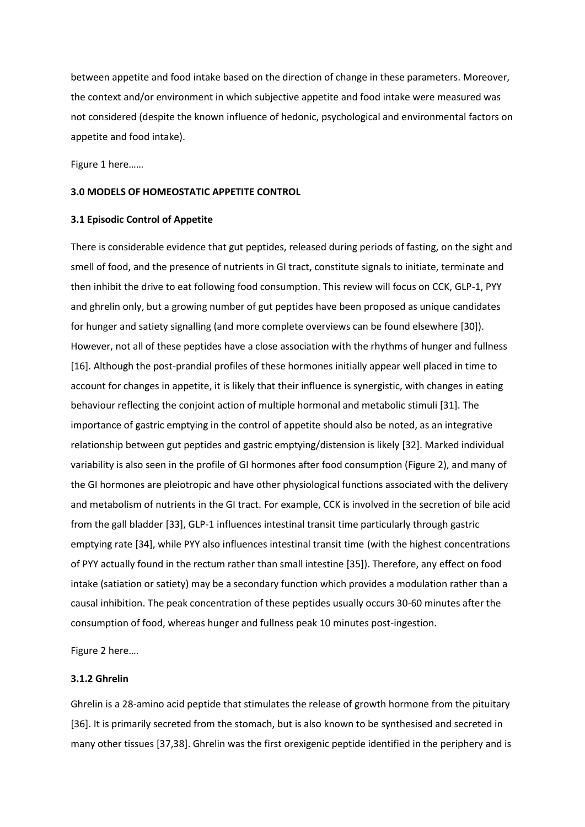between appetite and food intake based on the direction of change in these parameters. Moreover, the context and/or environment in which subjective appetite and food intake were measured was not considered (despite the known influence of hedonic, psychological and environmental factors on appetite and food intake).

Figure 1 here……

### **3.0 MODELS OF HOMEOSTATIC APPETITE CONTROL**

#### **3.1 Episodic Control of Appetite**

There is considerable evidence that gut peptides, released during periods of fasting, on the sight and smell of food, and the presence of nutrients in GI tract, constitute signals to initiate, terminate and then inhibit the drive to eat following food consumption. This review will focus on CCK, GLP-1, PYY and ghrelin only, but a growing number of gut peptides have been proposed as unique candidates for hunger and satiety signalling (and more complete overviews can be found elsewhere [30]). However, not all of these peptides have a close association with the rhythms of hunger and fullness [16]. Although the post-prandial profiles of these hormones initially appear well placed in time to account for changes in appetite, it is likely that their influence is synergistic, with changes in eating behaviour reflecting the conjoint action of multiple hormonal and metabolic stimuli [31]. The importance of gastric emptying in the control of appetite should also be noted, as an integrative relationship between gut peptides and gastric emptying/distension is likely [32]. Marked individual variability is also seen in the profile of GI hormones after food consumption (Figure 2), and many of the GI hormones are pleiotropic and have other physiological functions associated with the delivery and metabolism of nutrients in the GI tract. For example, CCK is involved in the secretion of bile acid from the gall bladder [33], GLP-1 influences intestinal transit time particularly through gastric emptying rate [34], while PYY also influences intestinal transit time (with the highest concentrations of PYY actually found in the rectum rather than small intestine [35]). Therefore, any effect on food intake (satiation or satiety) may be a secondary function which provides a modulation rather than a causal inhibition. The peak concentration of these peptides usually occurs 30-60 minutes after the consumption of food, whereas hunger and fullness peak 10 minutes post-ingestion.

Figure 2 here….

# **3.1.2 Ghrelin**

Ghrelin is a 28-amino acid peptide that stimulates the release of growth hormone from the pituitary [36]. It is primarily secreted from the stomach, but is also known to be synthesised and secreted in many other tissues [37,38]. Ghrelin was the first orexigenic peptide identified in the periphery and is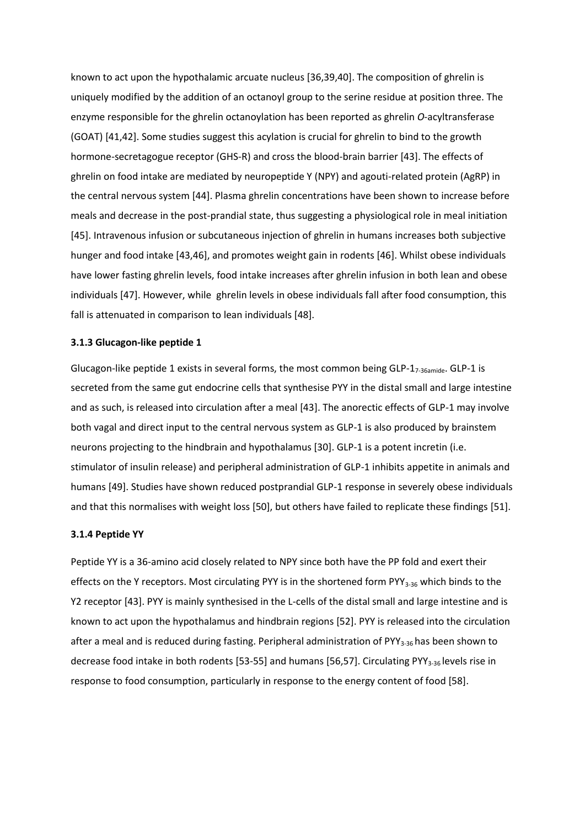known to act upon the hypothalamic arcuate nucleus [36,39,40]. The composition of ghrelin is uniquely modified by the addition of an octanoyl group to the serine residue at position three. The enzyme responsible for the ghrelin octanoylation has been reported as ghrelin *O*-acyltransferase (GOAT) [41,42]. Some studies suggest this acylation is crucial for ghrelin to bind to the growth hormone-secretagogue receptor (GHS-R) and cross the blood-brain barrier [43]. The effects of ghrelin on food intake are mediated by neuropeptide Y (NPY) and agouti-related protein (AgRP) in the central nervous system [44]. Plasma ghrelin concentrations have been shown to increase before meals and decrease in the post-prandial state, thus suggesting a physiological role in meal initiation [45]. Intravenous infusion or subcutaneous injection of ghrelin in humans increases both subjective hunger and food intake [43,46], and promotes weight gain in rodents [46]. Whilst obese individuals have lower fasting ghrelin levels, food intake increases after ghrelin infusion in both lean and obese individuals [47]. However, while ghrelin levels in obese individuals fall after food consumption, this fall is attenuated in comparison to lean individuals [48].

# **3.1.3 Glucagon-like peptide 1**

Glucagon-like peptide 1 exists in several forms, the most common being GLP-1 $_{7\text{-}36\text{amide}}$ . GLP-1 is secreted from the same gut endocrine cells that synthesise PYY in the distal small and large intestine and as such, is released into circulation after a meal [43]. The anorectic effects of GLP-1 may involve both vagal and direct input to the central nervous system as GLP-1 is also produced by brainstem neurons projecting to the hindbrain and hypothalamus [30]. GLP-1 is a potent incretin (i.e. stimulator of insulin release) and peripheral administration of GLP-1 inhibits appetite in animals and humans [49]. Studies have shown reduced postprandial GLP-1 response in severely obese individuals and that this normalises with weight loss [50], but others have failed to replicate these findings [51].

# **3.1.4 Peptide YY**

Peptide YY is a 36-amino acid closely related to NPY since both have the PP fold and exert their effects on the Y receptors. Most circulating PYY is in the shortened form PYY<sub>3-36</sub> which binds to the Y2 receptor [43]. PYY is mainly synthesised in the L-cells of the distal small and large intestine and is known to act upon the hypothalamus and hindbrain regions [52]. PYY is released into the circulation after a meal and is reduced during fasting. Peripheral administration of PYY<sub>3-36</sub> has been shown to decrease food intake in both rodents [53-55] and humans [56,57]. Circulating PYY<sub>3-36</sub> levels rise in response to food consumption, particularly in response to the energy content of food [58].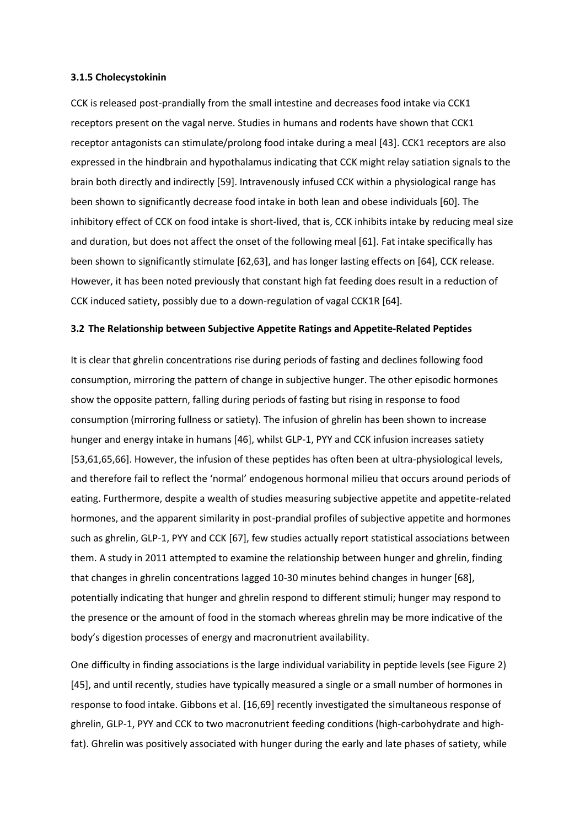# **3.1.5 Cholecystokinin**

CCK is released post-prandially from the small intestine and decreases food intake via CCK1 receptors present on the vagal nerve. Studies in humans and rodents have shown that CCK1 receptor antagonists can stimulate/prolong food intake during a meal [43]. CCK1 receptors are also expressed in the hindbrain and hypothalamus indicating that CCK might relay satiation signals to the brain both directly and indirectly [59]. Intravenously infused CCK within a physiological range has been shown to significantly decrease food intake in both lean and obese individuals [60]. The inhibitory effect of CCK on food intake is short-lived, that is, CCK inhibits intake by reducing meal size and duration, but does not affect the onset of the following meal [61]. Fat intake specifically has been shown to significantly stimulate [62,63], and has longer lasting effects on [64], CCK release. However, it has been noted previously that constant high fat feeding does result in a reduction of CCK induced satiety, possibly due to a down-regulation of vagal CCK1R [64].

# **3.2 The Relationship between Subjective Appetite Ratings and Appetite-Related Peptides**

It is clear that ghrelin concentrations rise during periods of fasting and declines following food consumption, mirroring the pattern of change in subjective hunger. The other episodic hormones show the opposite pattern, falling during periods of fasting but rising in response to food consumption (mirroring fullness or satiety). The infusion of ghrelin has been shown to increase hunger and energy intake in humans [46], whilst GLP-1, PYY and CCK infusion increases satiety [53,61,65,66]. However, the infusion of these peptides has often been at ultra-physiological levels, and therefore fail to reflect the 'normal' endogenous hormonal milieu that occurs around periods of eating. Furthermore, despite a wealth of studies measuring subjective appetite and appetite-related hormones, and the apparent similarity in post-prandial profiles of subjective appetite and hormones such as ghrelin, GLP-1, PYY and CCK [67], few studies actually report statistical associations between them. A study in 2011 attempted to examine the relationship between hunger and ghrelin, finding that changes in ghrelin concentrations lagged 10-30 minutes behind changes in hunger [68], potentially indicating that hunger and ghrelin respond to different stimuli; hunger may respond to the presence or the amount of food in the stomach whereas ghrelin may be more indicative of the body's digestion processes of energy and macronutrient availability.

One difficulty in finding associations is the large individual variability in peptide levels (see Figure 2) [45], and until recently, studies have typically measured a single or a small number of hormones in response to food intake. Gibbons et al. [16,69] recently investigated the simultaneous response of ghrelin, GLP-1, PYY and CCK to two macronutrient feeding conditions (high-carbohydrate and highfat). Ghrelin was positively associated with hunger during the early and late phases of satiety, while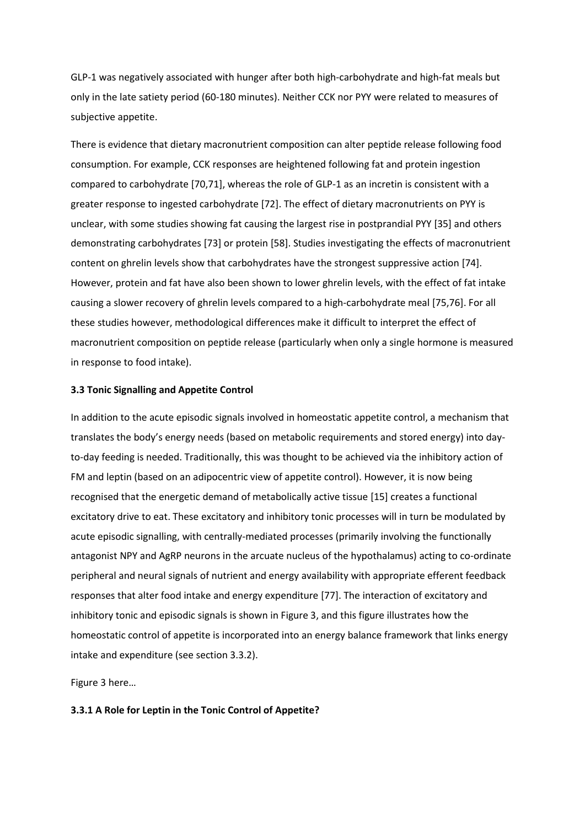GLP-1 was negatively associated with hunger after both high-carbohydrate and high-fat meals but only in the late satiety period (60-180 minutes). Neither CCK nor PYY were related to measures of subjective appetite.

There is evidence that dietary macronutrient composition can alter peptide release following food consumption. For example, CCK responses are heightened following fat and protein ingestion compared to carbohydrate [70,71], whereas the role of GLP-1 as an incretin is consistent with a greater response to ingested carbohydrate [72]. The effect of dietary macronutrients on PYY is unclear, with some studies showing fat causing the largest rise in postprandial PYY [35] and others demonstrating carbohydrates [73] or protein [58]. Studies investigating the effects of macronutrient content on ghrelin levels show that carbohydrates have the strongest suppressive action [74]. However, protein and fat have also been shown to lower ghrelin levels, with the effect of fat intake causing a slower recovery of ghrelin levels compared to a high-carbohydrate meal [75,76]. For all these studies however, methodological differences make it difficult to interpret the effect of macronutrient composition on peptide release (particularly when only a single hormone is measured in response to food intake).

# **3.3 Tonic Signalling and Appetite Control**

In addition to the acute episodic signals involved in homeostatic appetite control, a mechanism that translates the body's energy needs (based on metabolic requirements and stored energy) into dayto-day feeding is needed. Traditionally, this was thought to be achieved via the inhibitory action of FM and leptin (based on an adipocentric view of appetite control). However, it is now being recognised that the energetic demand of metabolically active tissue [15] creates a functional excitatory drive to eat. These excitatory and inhibitory tonic processes will in turn be modulated by acute episodic signalling, with centrally-mediated processes (primarily involving the functionally antagonist NPY and AgRP neurons in the arcuate nucleus of the hypothalamus) acting to co-ordinate peripheral and neural signals of nutrient and energy availability with appropriate efferent feedback responses that alter food intake and energy expenditure [77]. The interaction of excitatory and inhibitory tonic and episodic signals is shown in Figure 3, and this figure illustrates how the homeostatic control of appetite is incorporated into an energy balance framework that links energy intake and expenditure (see section 3.3.2).

Figure 3 here…

# **3.3.1 A Role for Leptin in the Tonic Control of Appetite?**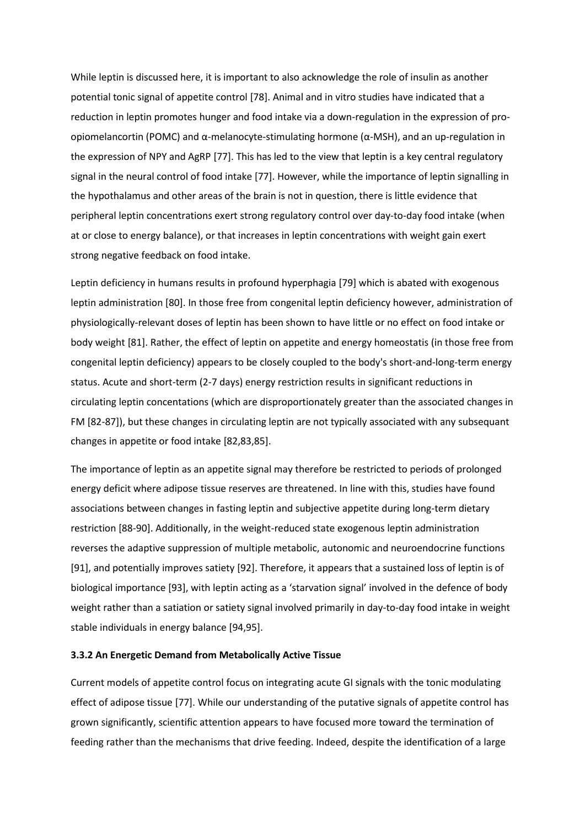While leptin is discussed here, it is important to also acknowledge the role of insulin as another potential tonic signal of appetite control [78]. Animal and in vitro studies have indicated that a reduction in leptin promotes hunger and food intake via a down-regulation in the expression of proopiomelancortin (POMC) and α-melanocyte-stimulating hormone (α-MSH), and an up-regulation in the expression of NPY and AgRP [77]. This has led to the view that leptin is a key central regulatory signal in the neural control of food intake [77]. However, while the importance of leptin signalling in the hypothalamus and other areas of the brain is not in question, there is little evidence that peripheral leptin concentrations exert strong regulatory control over day-to-day food intake (when at or close to energy balance), or that increases in leptin concentrations with weight gain exert strong negative feedback on food intake.

Leptin deficiency in humans results in profound hyperphagia [79] which is abated with exogenous leptin administration [80]. In those free from congenital leptin deficiency however, administration of physiologically-relevant doses of leptin has been shown to have little or no effect on food intake or body weight [81]. Rather, the effect of leptin on appetite and energy homeostatis (in those free from congenital leptin deficiency) appears to be closely coupled to the body's short-and-long-term energy status. Acute and short-term (2-7 days) energy restriction results in significant reductions in circulating leptin concentations (which are disproportionately greater than the associated changes in FM [82-87]), but these changes in circulating leptin are not typically associated with any subsequant changes in appetite or food intake [82,83,85].

The importance of leptin as an appetite signal may therefore be restricted to periods of prolonged energy deficit where adipose tissue reserves are threatened. In line with this, studies have found associations between changes in fasting leptin and subjective appetite during long-term dietary restriction [88-90]. Additionally, in the weight-reduced state exogenous leptin administration reverses the adaptive suppression of multiple metabolic, autonomic and neuroendocrine functions [91], and potentially improves satiety [92]. Therefore, it appears that a sustained loss of leptin is of biological importance [93], with leptin acting as a 'starvation signal' involved in the defence of body weight rather than a satiation or satiety signal involved primarily in day-to-day food intake in weight stable individuals in energy balance [94,95].

# **3.3.2 An Energetic Demand from Metabolically Active Tissue**

Current models of appetite control focus on integrating acute GI signals with the tonic modulating effect of adipose tissue [77]. While our understanding of the putative signals of appetite control has grown significantly, scientific attention appears to have focused more toward the termination of feeding rather than the mechanisms that drive feeding. Indeed, despite the identification of a large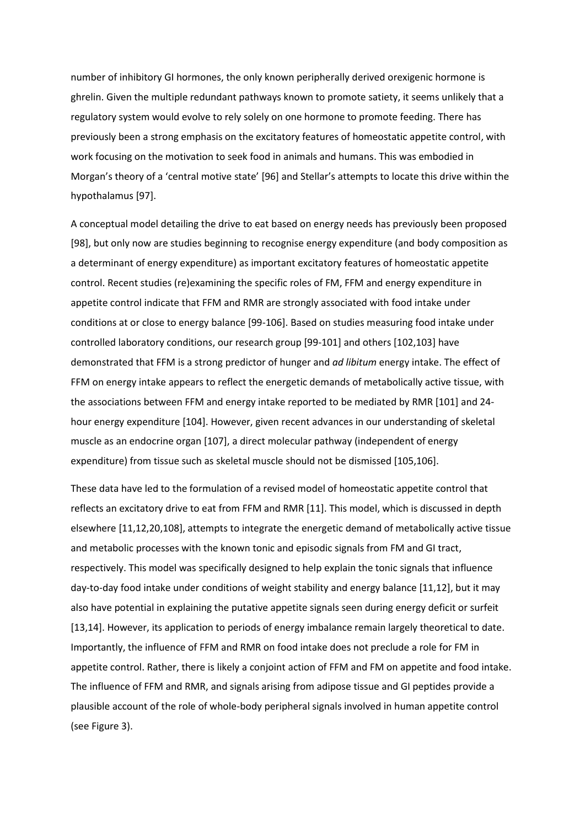number of inhibitory GI hormones, the only known peripherally derived orexigenic hormone is ghrelin. Given the multiple redundant pathways known to promote satiety, it seems unlikely that a regulatory system would evolve to rely solely on one hormone to promote feeding. There has previously been a strong emphasis on the excitatory features of homeostatic appetite control, with work focusing on the motivation to seek food in animals and humans. This was embodied in Morgan's theory of a 'central motive state' [96] and Stellar's attempts to locate this drive within the hypothalamus [97].

A conceptual model detailing the drive to eat based on energy needs has previously been proposed [98], but only now are studies beginning to recognise energy expenditure (and body composition as a determinant of energy expenditure) as important excitatory features of homeostatic appetite control. Recent studies (re)examining the specific roles of FM, FFM and energy expenditure in appetite control indicate that FFM and RMR are strongly associated with food intake under conditions at or close to energy balance [99-106]. Based on studies measuring food intake under controlled laboratory conditions, our research group [99-101] and others [102,103] have demonstrated that FFM is a strong predictor of hunger and *ad libitum* energy intake. The effect of FFM on energy intake appears to reflect the energetic demands of metabolically active tissue, with the associations between FFM and energy intake reported to be mediated by RMR [101] and 24 hour energy expenditure [104]. However, given recent advances in our understanding of skeletal muscle as an endocrine organ [107], a direct molecular pathway (independent of energy expenditure) from tissue such as skeletal muscle should not be dismissed [105,106].

These data have led to the formulation of a revised model of homeostatic appetite control that reflects an excitatory drive to eat from FFM and RMR [11]. This model, which is discussed in depth elsewhere [11,12,20,108], attempts to integrate the energetic demand of metabolically active tissue and metabolic processes with the known tonic and episodic signals from FM and GI tract, respectively. This model was specifically designed to help explain the tonic signals that influence day-to-day food intake under conditions of weight stability and energy balance [11,12], but it may also have potential in explaining the putative appetite signals seen during energy deficit or surfeit [13,14]. However, its application to periods of energy imbalance remain largely theoretical to date. Importantly, the influence of FFM and RMR on food intake does not preclude a role for FM in appetite control. Rather, there is likely a conjoint action of FFM and FM on appetite and food intake. The influence of FFM and RMR, and signals arising from adipose tissue and GI peptides provide a plausible account of the role of whole-body peripheral signals involved in human appetite control (see Figure 3).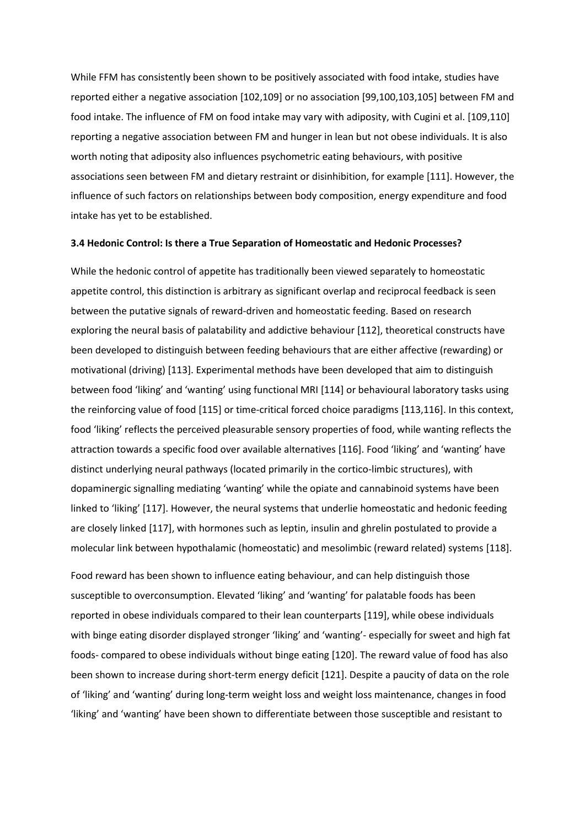While FFM has consistently been shown to be positively associated with food intake, studies have reported either a negative association [102,109] or no association [99,100,103,105] between FM and food intake. The influence of FM on food intake may vary with adiposity, with Cugini et al. [109,110] reporting a negative association between FM and hunger in lean but not obese individuals. It is also worth noting that adiposity also influences psychometric eating behaviours, with positive associations seen between FM and dietary restraint or disinhibition, for example [111]. However, the influence of such factors on relationships between body composition, energy expenditure and food intake has yet to be established.

# **3.4 Hedonic Control: Is there a True Separation of Homeostatic and Hedonic Processes?**

While the hedonic control of appetite has traditionally been viewed separately to homeostatic appetite control, this distinction is arbitrary as significant overlap and reciprocal feedback is seen between the putative signals of reward-driven and homeostatic feeding. Based on research exploring the neural basis of palatability and addictive behaviour [112], theoretical constructs have been developed to distinguish between feeding behaviours that are either affective (rewarding) or motivational (driving) [113]. Experimental methods have been developed that aim to distinguish between food 'liking' and 'wanting' using functional MRI [114] or behavioural laboratory tasks using the reinforcing value of food [115] or time-critical forced choice paradigms [113,116]. In this context, food 'liking' reflects the perceived pleasurable sensory properties of food, while wanting reflects the attraction towards a specific food over available alternatives [116]. Food 'liking' and 'wanting' have distinct underlying neural pathways (located primarily in the cortico-limbic structures), with dopaminergic signalling mediating 'wanting' while the opiate and cannabinoid systems have been linked to 'liking' [117]. However, the neural systems that underlie homeostatic and hedonic feeding are closely linked [117], with hormones such as leptin, insulin and ghrelin postulated to provide a molecular link between hypothalamic (homeostatic) and mesolimbic (reward related) systems [118].

Food reward has been shown to influence eating behaviour, and can help distinguish those susceptible to overconsumption. Elevated 'liking' and 'wanting' for palatable foods has been reported in obese individuals compared to their lean counterparts [119], while obese individuals with binge eating disorder displayed stronger 'liking' and 'wanting'- especially for sweet and high fat foods- compared to obese individuals without binge eating [120]. The reward value of food has also been shown to increase during short-term energy deficit [121]. Despite a paucity of data on the role of 'liking' and 'wanting' during long-term weight loss and weight loss maintenance, changes in food 'liking' and 'wanting' have been shown to differentiate between those susceptible and resistant to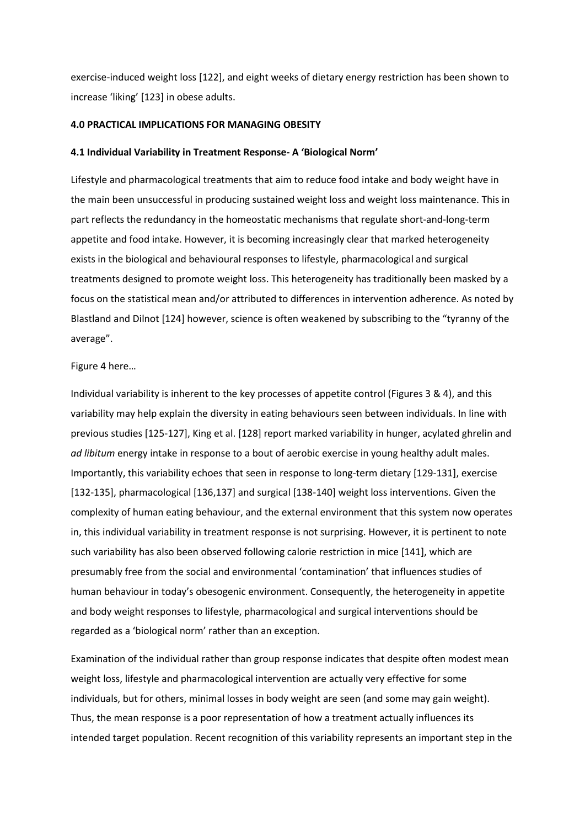exercise-induced weight loss [122], and eight weeks of dietary energy restriction has been shown to increase 'liking' [123] in obese adults.

# **4.0 PRACTICAL IMPLICATIONS FOR MANAGING OBESITY**

#### **4.1 Individual Variability in Treatment Response- A 'Biological Norm'**

Lifestyle and pharmacological treatments that aim to reduce food intake and body weight have in the main been unsuccessful in producing sustained weight loss and weight loss maintenance. This in part reflects the redundancy in the homeostatic mechanisms that regulate short-and-long-term appetite and food intake. However, it is becoming increasingly clear that marked heterogeneity exists in the biological and behavioural responses to lifestyle, pharmacological and surgical treatments designed to promote weight loss. This heterogeneity has traditionally been masked by a focus on the statistical mean and/or attributed to differences in intervention adherence. As noted by Blastland and Dilnot [124] however, science is often weakened by subscribing to the "tyranny of the average".

# Figure 4 here…

Individual variability is inherent to the key processes of appetite control (Figures 3 & 4), and this variability may help explain the diversity in eating behaviours seen between individuals. In line with previous studies [125-127], King et al. [128] report marked variability in hunger, acylated ghrelin and *ad libitum* energy intake in response to a bout of aerobic exercise in young healthy adult males. Importantly, this variability echoes that seen in response to long-term dietary [129-131], exercise [132-135], pharmacological [136,137] and surgical [138-140] weight loss interventions. Given the complexity of human eating behaviour, and the external environment that this system now operates in, this individual variability in treatment response is not surprising. However, it is pertinent to note such variability has also been observed following calorie restriction in mice [141], which are presumably free from the social and environmental 'contamination' that influences studies of human behaviour in today's obesogenic environment. Consequently, the heterogeneity in appetite and body weight responses to lifestyle, pharmacological and surgical interventions should be regarded as a 'biological norm' rather than an exception.

Examination of the individual rather than group response indicates that despite often modest mean weight loss, lifestyle and pharmacological intervention are actually very effective for some individuals, but for others, minimal losses in body weight are seen (and some may gain weight). Thus, the mean response is a poor representation of how a treatment actually influences its intended target population. Recent recognition of this variability represents an important step in the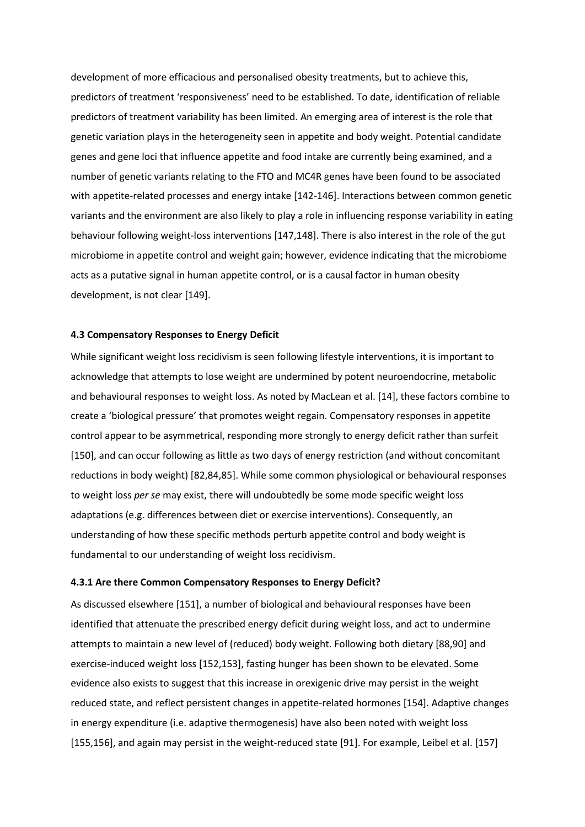development of more efficacious and personalised obesity treatments, but to achieve this, predictors of treatment 'responsiveness' need to be established. To date, identification of reliable predictors of treatment variability has been limited. An emerging area of interest is the role that genetic variation plays in the heterogeneity seen in appetite and body weight. Potential candidate genes and gene loci that influence appetite and food intake are currently being examined, and a number of genetic variants relating to the FTO and MC4R genes have been found to be associated with appetite-related processes and energy intake [142-146]. Interactions between common genetic variants and the environment are also likely to play a role in influencing response variability in eating behaviour following weight-loss interventions [147,148]. There is also interest in the role of the gut microbiome in appetite control and weight gain; however, evidence indicating that the microbiome acts as a putative signal in human appetite control, or is a causal factor in human obesity development, is not clear [149].

#### **4.3 Compensatory Responses to Energy Deficit**

While significant weight loss recidivism is seen following lifestyle interventions, it is important to acknowledge that attempts to lose weight are undermined by potent neuroendocrine, metabolic and behavioural responses to weight loss. As noted by MacLean et al. [14], these factors combine to create a 'biological pressure' that promotes weight regain. Compensatory responses in appetite control appear to be asymmetrical, responding more strongly to energy deficit rather than surfeit [150], and can occur following as little as two days of energy restriction (and without concomitant reductions in body weight) [82,84,85]. While some common physiological or behavioural responses to weight loss *per se* may exist, there will undoubtedly be some mode specific weight loss adaptations (e.g. differences between diet or exercise interventions). Consequently, an understanding of how these specific methods perturb appetite control and body weight is fundamental to our understanding of weight loss recidivism.

#### **4.3.1 Are there Common Compensatory Responses to Energy Deficit?**

As discussed elsewhere [151], a number of biological and behavioural responses have been identified that attenuate the prescribed energy deficit during weight loss, and act to undermine attempts to maintain a new level of (reduced) body weight. Following both dietary [88,90] and exercise-induced weight loss [152,153], fasting hunger has been shown to be elevated. Some evidence also exists to suggest that this increase in orexigenic drive may persist in the weight reduced state, and reflect persistent changes in appetite-related hormones [154]. Adaptive changes in energy expenditure (i.e. adaptive thermogenesis) have also been noted with weight loss [155,156], and again may persist in the weight-reduced state [91]. For example, Leibel et al. [157]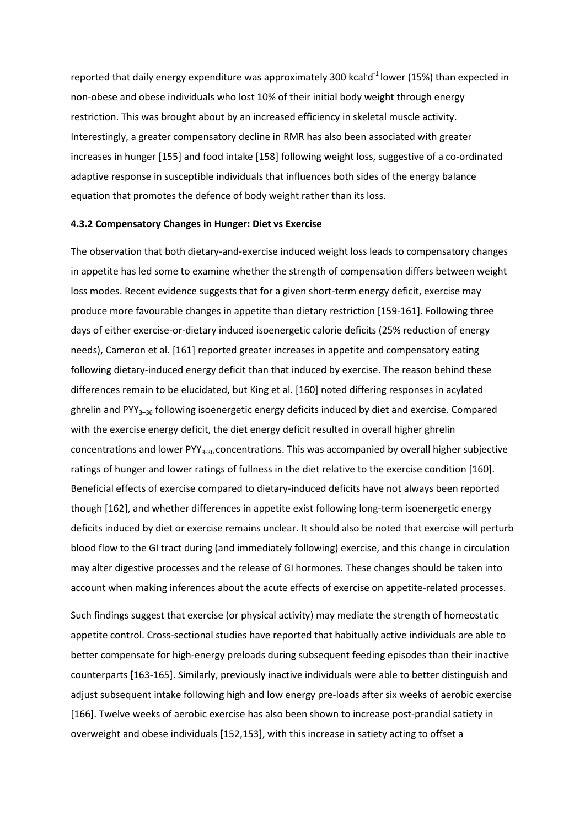reported that daily energy expenditure was approximately 300 kcal d<sup>-1</sup> lower (15%) than expected in non-obese and obese individuals who lost 10% of their initial body weight through energy restriction. This was brought about by an increased efficiency in skeletal muscle activity. Interestingly, a greater compensatory decline in RMR has also been associated with greater increases in hunger [155] and food intake [158] following weight loss, suggestive of a co-ordinated adaptive response in susceptible individuals that influences both sides of the energy balance equation that promotes the defence of body weight rather than its loss.

## **4.3.2 Compensatory Changes in Hunger: Diet vs Exercise**

The observation that both dietary-and-exercise induced weight loss leads to compensatory changes in appetite has led some to examine whether the strength of compensation differs between weight loss modes. Recent evidence suggests that for a given short-term energy deficit, exercise may produce more favourable changes in appetite than dietary restriction [159-161]. Following three days of either exercise-or-dietary induced isoenergetic calorie deficits (25% reduction of energy needs), Cameron et al. [161] reported greater increases in appetite and compensatory eating following dietary-induced energy deficit than that induced by exercise. The reason behind these differences remain to be elucidated, but King et al. [160] noted differing responses in acylated ghrelin and PYY<sub>3–36</sub> following isoenergetic energy deficits induced by diet and exercise. Compared with the exercise energy deficit, the diet energy deficit resulted in overall higher ghrelin concentrations and lower PYY3-36 concentrations. This was accompanied by overall higher subjective ratings of hunger and lower ratings of fullness in the diet relative to the exercise condition [160]. Beneficial effects of exercise compared to dietary-induced deficits have not always been reported though [162], and whether differences in appetite exist following long-term isoenergetic energy deficits induced by diet or exercise remains unclear. It should also be noted that exercise will perturb blood flow to the GI tract during (and immediately following) exercise, and this change in circulation may alter digestive processes and the release of GI hormones. These changes should be taken into account when making inferences about the acute effects of exercise on appetite-related processes.

Such findings suggest that exercise (or physical activity) may mediate the strength of homeostatic appetite control. Cross-sectional studies have reported that habitually active individuals are able to better compensate for high-energy preloads during subsequent feeding episodes than their inactive counterparts [163-165]. Similarly, previously inactive individuals were able to better distinguish and adjust subsequent intake following high and low energy pre-loads after six weeks of aerobic exercise [166]. Twelve weeks of aerobic exercise has also been shown to increase post-prandial satiety in overweight and obese individuals [152,153], with this increase in satiety acting to offset a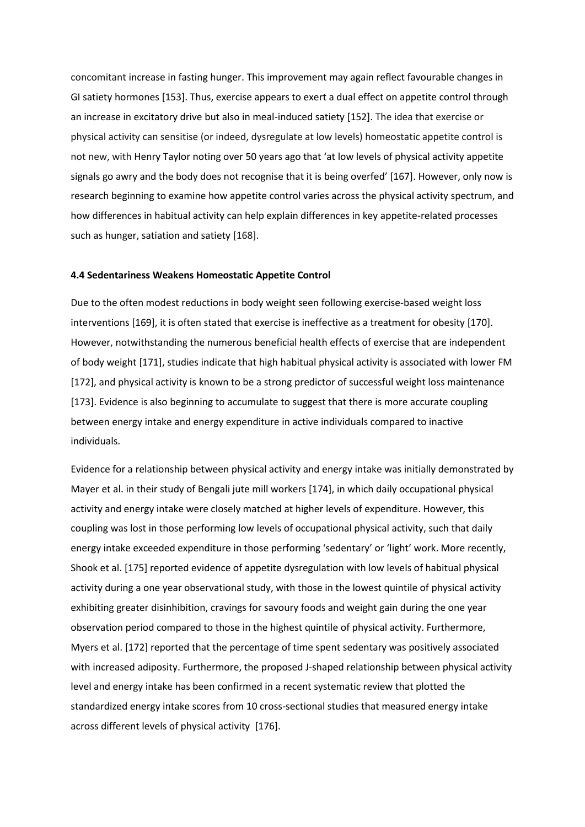concomitant increase in fasting hunger. This improvement may again reflect favourable changes in GI satiety hormones [153]. Thus, exercise appears to exert a dual effect on appetite control through an increase in excitatory drive but also in meal-induced satiety [152]. The idea that exercise or physical activity can sensitise (or indeed, dysregulate at low levels) homeostatic appetite control is not new, with Henry Taylor noting over 50 years ago that 'at low levels of physical activity appetite signals go awry and the body does not recognise that it is being overfed' [167]. However, only now is research beginning to examine how appetite control varies across the physical activity spectrum, and how differences in habitual activity can help explain differences in key appetite-related processes such as hunger, satiation and satiety [168].

# **4.4 Sedentariness Weakens Homeostatic Appetite Control**

Due to the often modest reductions in body weight seen following exercise-based weight loss interventions [169], it is often stated that exercise is ineffective as a treatment for obesity [170]. However, notwithstanding the numerous beneficial health effects of exercise that are independent of body weight [171], studies indicate that high habitual physical activity is associated with lower FM [172], and physical activity is known to be a strong predictor of successful weight loss maintenance [173]. Evidence is also beginning to accumulate to suggest that there is more accurate coupling between energy intake and energy expenditure in active individuals compared to inactive individuals.

Evidence for a relationship between physical activity and energy intake was initially demonstrated by Mayer et al. in their study of Bengali jute mill workers [174], in which daily occupational physical activity and energy intake were closely matched at higher levels of expenditure. However, this coupling was lost in those performing low levels of occupational physical activity, such that daily energy intake exceeded expenditure in those performing 'sedentary' or 'light' work. More recently, Shook et al. [175] reported evidence of appetite dysregulation with low levels of habitual physical activity during a one year observational study, with those in the lowest quintile of physical activity exhibiting greater disinhibition, cravings for savoury foods and weight gain during the one year observation period compared to those in the highest quintile of physical activity. Furthermore, Myers et al. [172] reported that the percentage of time spent sedentary was positively associated with increased adiposity. Furthermore, the proposed J-shaped relationship between physical activity level and energy intake has been confirmed in a recent systematic review that plotted the standardized energy intake scores from 10 cross-sectional studies that measured energy intake across different levels of physical activity [176].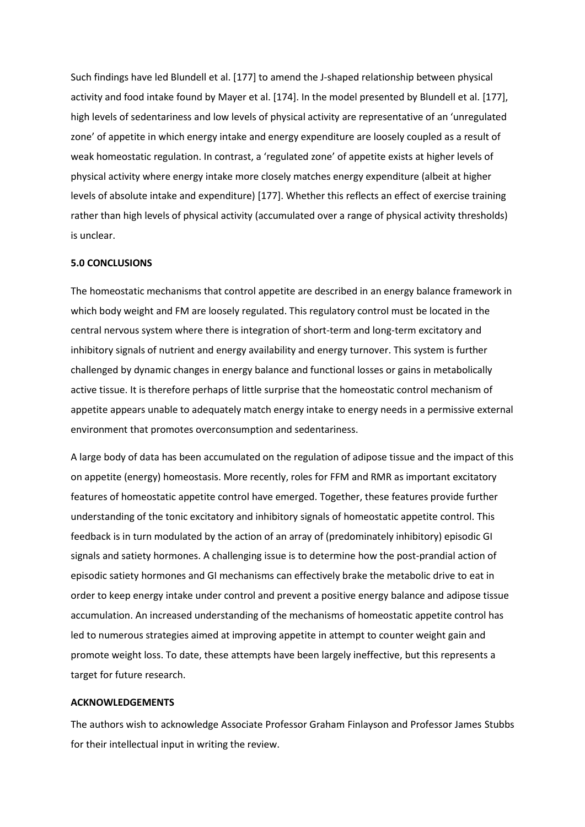Such findings have led Blundell et al. [177] to amend the J-shaped relationship between physical activity and food intake found by Mayer et al. [174]. In the model presented by Blundell et al. [177], high levels of sedentariness and low levels of physical activity are representative of an 'unregulated zone' of appetite in which energy intake and energy expenditure are loosely coupled as a result of weak homeostatic regulation. In contrast, a 'regulated zone' of appetite exists at higher levels of physical activity where energy intake more closely matches energy expenditure (albeit at higher levels of absolute intake and expenditure) [177]. Whether this reflects an effect of exercise training rather than high levels of physical activity (accumulated over a range of physical activity thresholds) is unclear.

# **5.0 CONCLUSIONS**

The homeostatic mechanisms that control appetite are described in an energy balance framework in which body weight and FM are loosely regulated. This regulatory control must be located in the central nervous system where there is integration of short-term and long-term excitatory and inhibitory signals of nutrient and energy availability and energy turnover. This system is further challenged by dynamic changes in energy balance and functional losses or gains in metabolically active tissue. It is therefore perhaps of little surprise that the homeostatic control mechanism of appetite appears unable to adequately match energy intake to energy needs in a permissive external environment that promotes overconsumption and sedentariness.

A large body of data has been accumulated on the regulation of adipose tissue and the impact of this on appetite (energy) homeostasis. More recently, roles for FFM and RMR as important excitatory features of homeostatic appetite control have emerged. Together, these features provide further understanding of the tonic excitatory and inhibitory signals of homeostatic appetite control. This feedback is in turn modulated by the action of an array of (predominately inhibitory) episodic GI signals and satiety hormones. A challenging issue is to determine how the post-prandial action of episodic satiety hormones and GI mechanisms can effectively brake the metabolic drive to eat in order to keep energy intake under control and prevent a positive energy balance and adipose tissue accumulation. An increased understanding of the mechanisms of homeostatic appetite control has led to numerous strategies aimed at improving appetite in attempt to counter weight gain and promote weight loss. To date, these attempts have been largely ineffective, but this represents a target for future research.

## **ACKNOWLEDGEMENTS**

The authors wish to acknowledge Associate Professor Graham Finlayson and Professor James Stubbs for their intellectual input in writing the review.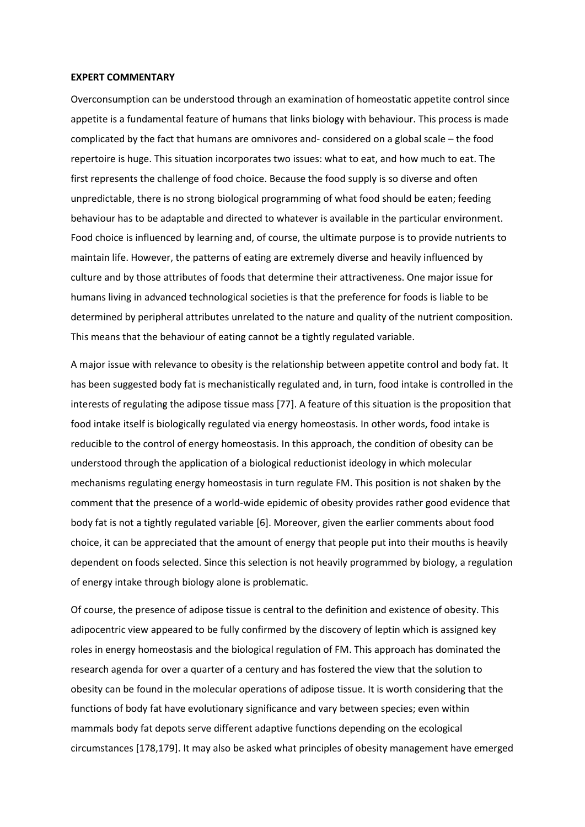#### **EXPERT COMMENTARY**

Overconsumption can be understood through an examination of homeostatic appetite control since appetite is a fundamental feature of humans that links biology with behaviour. This process is made complicated by the fact that humans are omnivores and- considered on a global scale – the food repertoire is huge. This situation incorporates two issues: what to eat, and how much to eat. The first represents the challenge of food choice. Because the food supply is so diverse and often unpredictable, there is no strong biological programming of what food should be eaten; feeding behaviour has to be adaptable and directed to whatever is available in the particular environment. Food choice is influenced by learning and, of course, the ultimate purpose is to provide nutrients to maintain life. However, the patterns of eating are extremely diverse and heavily influenced by culture and by those attributes of foods that determine their attractiveness. One major issue for humans living in advanced technological societies is that the preference for foods is liable to be determined by peripheral attributes unrelated to the nature and quality of the nutrient composition. This means that the behaviour of eating cannot be a tightly regulated variable.

A major issue with relevance to obesity is the relationship between appetite control and body fat. It has been suggested body fat is mechanistically regulated and, in turn, food intake is controlled in the interests of regulating the adipose tissue mass [77]. A feature of this situation is the proposition that food intake itself is biologically regulated via energy homeostasis. In other words, food intake is reducible to the control of energy homeostasis. In this approach, the condition of obesity can be understood through the application of a biological reductionist ideology in which molecular mechanisms regulating energy homeostasis in turn regulate FM. This position is not shaken by the comment that the presence of a world-wide epidemic of obesity provides rather good evidence that body fat is not a tightly regulated variable [6]. Moreover, given the earlier comments about food choice, it can be appreciated that the amount of energy that people put into their mouths is heavily dependent on foods selected. Since this selection is not heavily programmed by biology, a regulation of energy intake through biology alone is problematic.

Of course, the presence of adipose tissue is central to the definition and existence of obesity. This adipocentric view appeared to be fully confirmed by the discovery of leptin which is assigned key roles in energy homeostasis and the biological regulation of FM. This approach has dominated the research agenda for over a quarter of a century and has fostered the view that the solution to obesity can be found in the molecular operations of adipose tissue. It is worth considering that the functions of body fat have evolutionary significance and vary between species; even within mammals body fat depots serve different adaptive functions depending on the ecological circumstances [178,179]. It may also be asked what principles of obesity management have emerged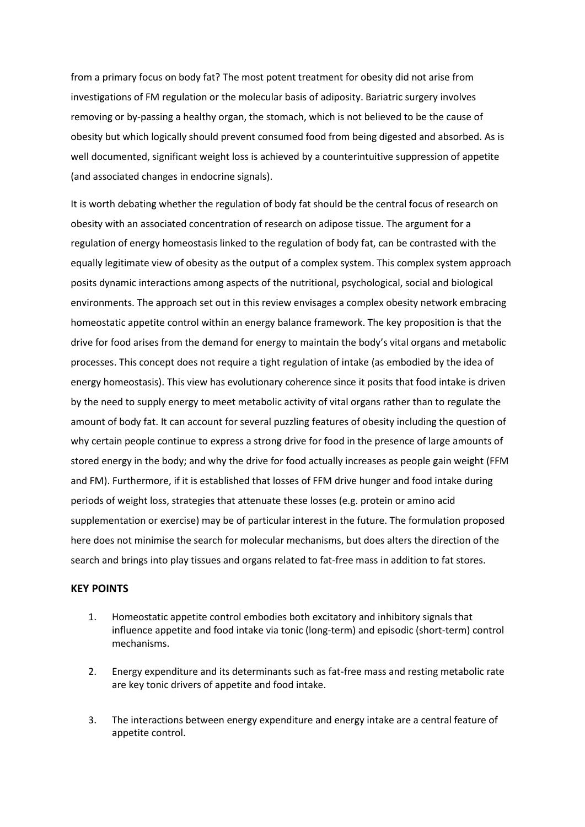from a primary focus on body fat? The most potent treatment for obesity did not arise from investigations of FM regulation or the molecular basis of adiposity. Bariatric surgery involves removing or by-passing a healthy organ, the stomach, which is not believed to be the cause of obesity but which logically should prevent consumed food from being digested and absorbed. As is well documented, significant weight loss is achieved by a counterintuitive suppression of appetite (and associated changes in endocrine signals).

It is worth debating whether the regulation of body fat should be the central focus of research on obesity with an associated concentration of research on adipose tissue. The argument for a regulation of energy homeostasis linked to the regulation of body fat, can be contrasted with the equally legitimate view of obesity as the output of a complex system. This complex system approach posits dynamic interactions among aspects of the nutritional, psychological, social and biological environments. The approach set out in this review envisages a complex obesity network embracing homeostatic appetite control within an energy balance framework. The key proposition is that the drive for food arises from the demand for energy to maintain the body's vital organs and metabolic processes. This concept does not require a tight regulation of intake (as embodied by the idea of energy homeostasis). This view has evolutionary coherence since it posits that food intake is driven by the need to supply energy to meet metabolic activity of vital organs rather than to regulate the amount of body fat. It can account for several puzzling features of obesity including the question of why certain people continue to express a strong drive for food in the presence of large amounts of stored energy in the body; and why the drive for food actually increases as people gain weight (FFM and FM). Furthermore, if it is established that losses of FFM drive hunger and food intake during periods of weight loss, strategies that attenuate these losses (e.g. protein or amino acid supplementation or exercise) may be of particular interest in the future. The formulation proposed here does not minimise the search for molecular mechanisms, but does alters the direction of the search and brings into play tissues and organs related to fat-free mass in addition to fat stores.

# **KEY POINTS**

- 1. Homeostatic appetite control embodies both excitatory and inhibitory signals that influence appetite and food intake via tonic (long-term) and episodic (short-term) control mechanisms.
- 2. Energy expenditure and its determinants such as fat-free mass and resting metabolic rate are key tonic drivers of appetite and food intake.
- 3. The interactions between energy expenditure and energy intake are a central feature of appetite control.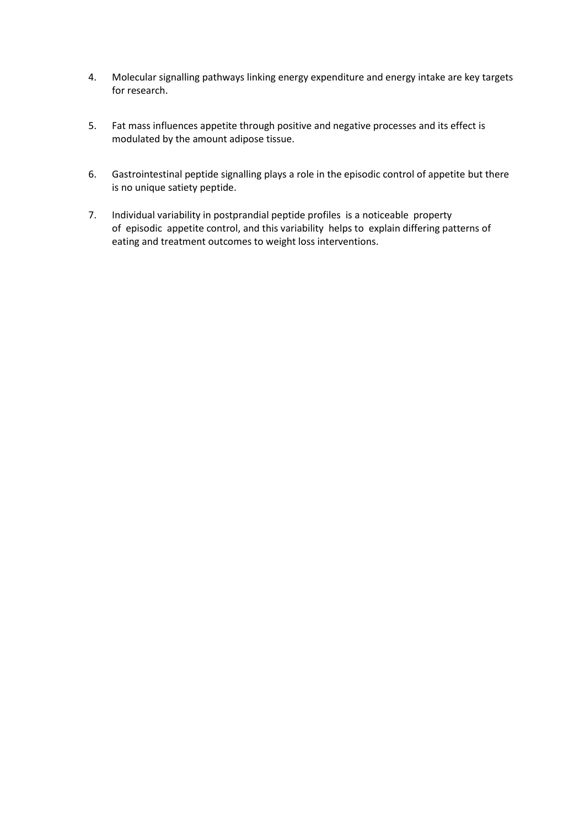- 4. Molecular signalling pathways linking energy expenditure and energy intake are key targets for research.
- 5. Fat mass influences appetite through positive and negative processes and its effect is modulated by the amount adipose tissue.
- 6. Gastrointestinal peptide signalling plays a role in the episodic control of appetite but there is no unique satiety peptide.
- 7. Individual variability in postprandial peptide profiles is a noticeable property of episodic appetite control, and this variability helps to explain differing patterns of eating and treatment outcomes to weight loss interventions.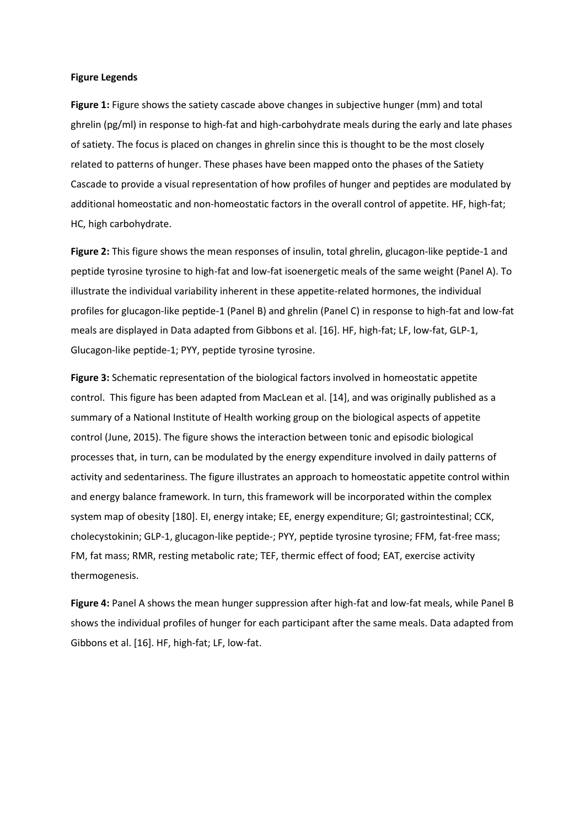# **Figure Legends**

**Figure 1:** Figure shows the satiety cascade above changes in subjective hunger (mm) and total ghrelin (pg/ml) in response to high-fat and high-carbohydrate meals during the early and late phases of satiety. The focus is placed on changes in ghrelin since this is thought to be the most closely related to patterns of hunger. These phases have been mapped onto the phases of the Satiety Cascade to provide a visual representation of how profiles of hunger and peptides are modulated by additional homeostatic and non-homeostatic factors in the overall control of appetite. HF, high-fat; HC, high carbohydrate.

**Figure 2:** This figure shows the mean responses of insulin, total ghrelin, glucagon-like peptide-1 and peptide tyrosine tyrosine to high-fat and low-fat isoenergetic meals of the same weight (Panel A). To illustrate the individual variability inherent in these appetite-related hormones, the individual profiles for glucagon-like peptide-1 (Panel B) and ghrelin (Panel C) in response to high-fat and low-fat meals are displayed in Data adapted from Gibbons et al. [16]. HF, high-fat; LF, low-fat, GLP-1, Glucagon-like peptide-1; PYY, peptide tyrosine tyrosine.

**Figure 3:** Schematic representation of the biological factors involved in homeostatic appetite control. This figure has been adapted from MacLean et al. [14], and was originally published as a summary of a National Institute of Health working group on the biological aspects of appetite control (June, 2015). The figure shows the interaction between tonic and episodic biological processes that, in turn, can be modulated by the energy expenditure involved in daily patterns of activity and sedentariness. The figure illustrates an approach to homeostatic appetite control within and energy balance framework. In turn, this framework will be incorporated within the complex system map of obesity [180]. EI, energy intake; EE, energy expenditure; GI; gastrointestinal; CCK, cholecystokinin; GLP-1, glucagon-like peptide-; PYY, peptide tyrosine tyrosine; FFM, fat-free mass; FM, fat mass; RMR, resting metabolic rate; TEF, thermic effect of food; EAT, exercise activity thermogenesis.

**Figure 4:** Panel A shows the mean hunger suppression after high-fat and low-fat meals, while Panel B shows the individual profiles of hunger for each participant after the same meals. Data adapted from Gibbons et al. [16]. HF, high-fat; LF, low-fat.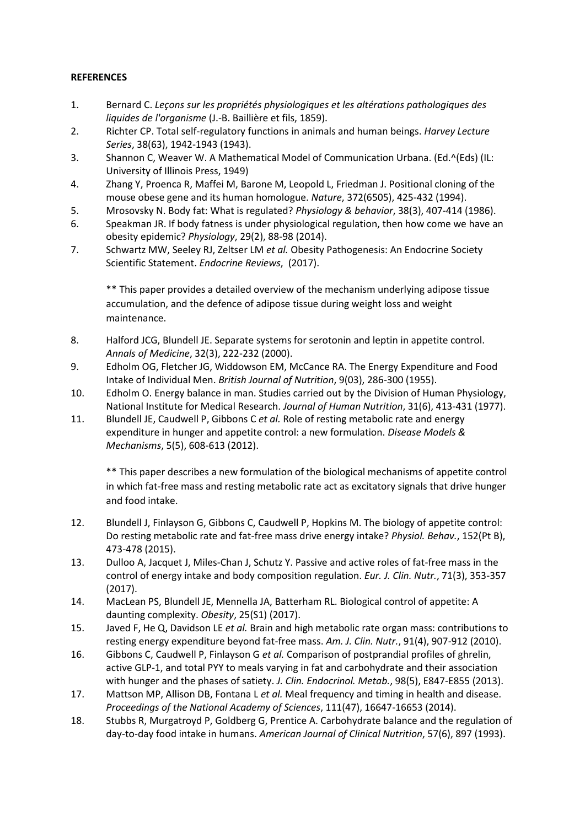# **REFERENCES**

- 1. Bernard C. *Leçons sur les propriétés physiologiques et les altérations pathologiques des liquides de l'organisme* (J.-B. Baillière et fils, 1859).
- 2. Richter CP. Total self-regulatory functions in animals and human beings. *Harvey Lecture Series*, 38(63), 1942-1943 (1943).
- 3. Shannon C, Weaver W. A Mathematical Model of Communication Urbana. (Ed.^(Eds) (IL: University of Illinois Press, 1949)
- 4. Zhang Y, Proenca R, Maffei M, Barone M, Leopold L, Friedman J. Positional cloning of the mouse obese gene and its human homologue. *Nature*, 372(6505), 425-432 (1994).
- 5. Mrosovsky N. Body fat: What is regulated? *Physiology & behavior*, 38(3), 407-414 (1986).
- 6. Speakman JR. If body fatness is under physiological regulation, then how come we have an obesity epidemic? *Physiology*, 29(2), 88-98 (2014).
- 7. Schwartz MW, Seeley RJ, Zeltser LM *et al.* Obesity Pathogenesis: An Endocrine Society Scientific Statement. *Endocrine Reviews*, (2017).

\*\* This paper provides a detailed overview of the mechanism underlying adipose tissue accumulation, and the defence of adipose tissue during weight loss and weight maintenance.

- 8. Halford JCG, Blundell JE. Separate systems for serotonin and leptin in appetite control. *Annals of Medicine*, 32(3), 222-232 (2000).
- 9. Edholm OG, Fletcher JG, Widdowson EM, McCance RA. The Energy Expenditure and Food Intake of Individual Men. *British Journal of Nutrition*, 9(03), 286-300 (1955).
- 10. Edholm O. Energy balance in man. Studies carried out by the Division of Human Physiology, National Institute for Medical Research. *Journal of Human Nutrition*, 31(6), 413-431 (1977).
- 11. Blundell JE, Caudwell P, Gibbons C *et al.* Role of resting metabolic rate and energy expenditure in hunger and appetite control: a new formulation. *Disease Models & Mechanisms*, 5(5), 608-613 (2012).

\*\* This paper describes a new formulation of the biological mechanisms of appetite control in which fat-free mass and resting metabolic rate act as excitatory signals that drive hunger and food intake.

- 12. Blundell J, Finlayson G, Gibbons C, Caudwell P, Hopkins M. The biology of appetite control: Do resting metabolic rate and fat-free mass drive energy intake? *Physiol. Behav.*, 152(Pt B), 473-478 (2015).
- 13. Dulloo A, Jacquet J, Miles-Chan J, Schutz Y. Passive and active roles of fat-free mass in the control of energy intake and body composition regulation. *Eur. J. Clin. Nutr.*, 71(3), 353-357 (2017).
- 14. MacLean PS, Blundell JE, Mennella JA, Batterham RL. Biological control of appetite: A daunting complexity. *Obesity*, 25(S1) (2017).
- 15. Javed F, He Q, Davidson LE *et al.* Brain and high metabolic rate organ mass: contributions to resting energy expenditure beyond fat-free mass. *Am. J. Clin. Nutr.*, 91(4), 907-912 (2010).
- 16. Gibbons C, Caudwell P, Finlayson G *et al.* Comparison of postprandial profiles of ghrelin, active GLP-1, and total PYY to meals varying in fat and carbohydrate and their association with hunger and the phases of satiety. *J. Clin. Endocrinol. Metab.*, 98(5), E847-E855 (2013).
- 17. Mattson MP, Allison DB, Fontana L *et al.* Meal frequency and timing in health and disease. *Proceedings of the National Academy of Sciences*, 111(47), 16647-16653 (2014).
- 18. Stubbs R, Murgatroyd P, Goldberg G, Prentice A. Carbohydrate balance and the regulation of day-to-day food intake in humans. *American Journal of Clinical Nutrition*, 57(6), 897 (1993).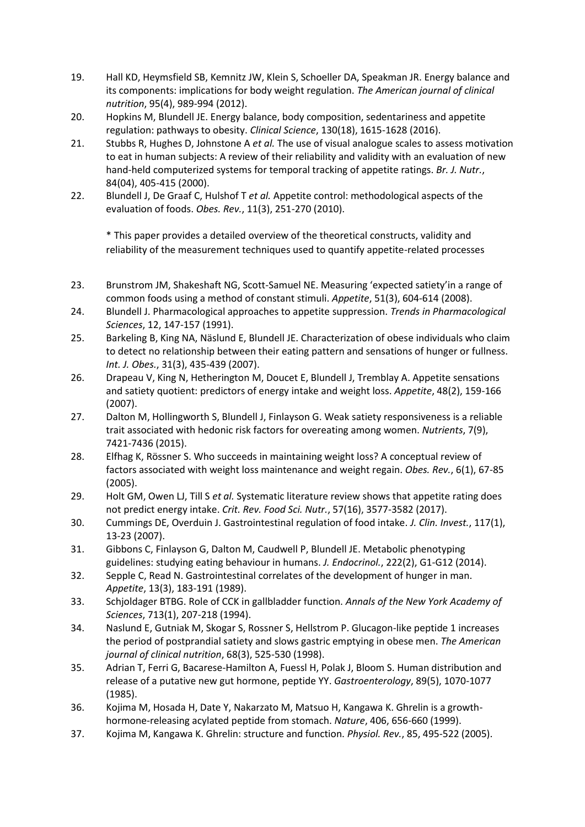- 19. Hall KD, Heymsfield SB, Kemnitz JW, Klein S, Schoeller DA, Speakman JR. Energy balance and its components: implications for body weight regulation. *The American journal of clinical nutrition*, 95(4), 989-994 (2012).
- 20. Hopkins M, Blundell JE. Energy balance, body composition, sedentariness and appetite regulation: pathways to obesity. *Clinical Science*, 130(18), 1615-1628 (2016).
- 21. Stubbs R, Hughes D, Johnstone A *et al.* The use of visual analogue scales to assess motivation to eat in human subjects: A review of their reliability and validity with an evaluation of new hand-held computerized systems for temporal tracking of appetite ratings. *Br. J. Nutr.*, 84(04), 405-415 (2000).
- 22. Blundell J, De Graaf C, Hulshof T *et al.* Appetite control: methodological aspects of the evaluation of foods. *Obes. Rev.*, 11(3), 251-270 (2010).

\* This paper provides a detailed overview of the theoretical constructs, validity and reliability of the measurement techniques used to quantify appetite-related processes

- 23. Brunstrom JM, Shakeshaft NG, Scott-Samuel NE. Measuring 'expected satiety'in a range of common foods using a method of constant stimuli. *Appetite*, 51(3), 604-614 (2008).
- 24. Blundell J. Pharmacological approaches to appetite suppression. *Trends in Pharmacological Sciences*, 12, 147-157 (1991).
- 25. Barkeling B, King NA, Näslund E, Blundell JE. Characterization of obese individuals who claim to detect no relationship between their eating pattern and sensations of hunger or fullness. *Int. J. Obes.*, 31(3), 435-439 (2007).
- 26. Drapeau V, King N, Hetherington M, Doucet E, Blundell J, Tremblay A. Appetite sensations and satiety quotient: predictors of energy intake and weight loss. *Appetite*, 48(2), 159-166 (2007).
- 27. Dalton M, Hollingworth S, Blundell J, Finlayson G. Weak satiety responsiveness is a reliable trait associated with hedonic risk factors for overeating among women. *Nutrients*, 7(9), 7421-7436 (2015).
- 28. Elfhag K, Rössner S. Who succeeds in maintaining weight loss? A conceptual review of factors associated with weight loss maintenance and weight regain. *Obes. Rev.*, 6(1), 67-85 (2005).
- 29. Holt GM, Owen LJ, Till S *et al.* Systematic literature review shows that appetite rating does not predict energy intake. *Crit. Rev. Food Sci. Nutr.*, 57(16), 3577-3582 (2017).
- 30. Cummings DE, Overduin J. Gastrointestinal regulation of food intake. *J. Clin. Invest.*, 117(1), 13-23 (2007).
- 31. Gibbons C, Finlayson G, Dalton M, Caudwell P, Blundell JE. Metabolic phenotyping guidelines: studying eating behaviour in humans. *J. Endocrinol.*, 222(2), G1-G12 (2014).
- 32. Sepple C, Read N. Gastrointestinal correlates of the development of hunger in man. *Appetite*, 13(3), 183-191 (1989).
- 33. Schjoldager BTBG. Role of CCK in gallbladder function. *Annals of the New York Academy of Sciences*, 713(1), 207-218 (1994).
- 34. Naslund E, Gutniak M, Skogar S, Rossner S, Hellstrom P. Glucagon-like peptide 1 increases the period of postprandial satiety and slows gastric emptying in obese men. *The American journal of clinical nutrition*, 68(3), 525-530 (1998).
- 35. Adrian T, Ferri G, Bacarese-Hamilton A, Fuessl H, Polak J, Bloom S. Human distribution and release of a putative new gut hormone, peptide YY. *Gastroenterology*, 89(5), 1070-1077 (1985).
- 36. Kojima M, Hosada H, Date Y, Nakarzato M, Matsuo H, Kangawa K. Ghrelin is a growthhormone-releasing acylated peptide from stomach. *Nature*, 406, 656-660 (1999).
- 37. Kojima M, Kangawa K. Ghrelin: structure and function. *Physiol. Rev.*, 85, 495-522 (2005).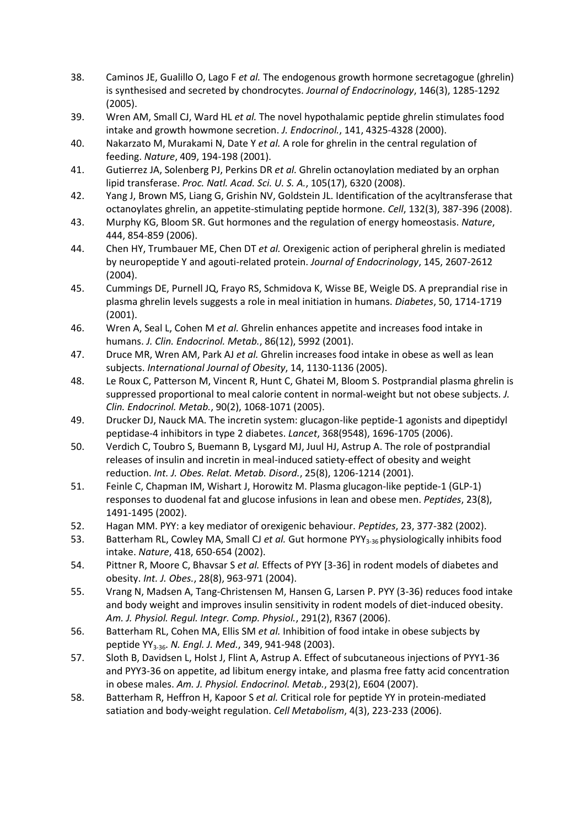- 38. Caminos JE, Gualillo O, Lago F *et al.* The endogenous growth hormone secretagogue (ghrelin) is synthesised and secreted by chondrocytes. *Journal of Endocrinology*, 146(3), 1285-1292 (2005).
- 39. Wren AM, Small CJ, Ward HL *et al.* The novel hypothalamic peptide ghrelin stimulates food intake and growth howmone secretion. *J. Endocrinol.*, 141, 4325-4328 (2000).
- 40. Nakarzato M, Murakami N, Date Y *et al.* A role for ghrelin in the central regulation of feeding. *Nature*, 409, 194-198 (2001).
- 41. Gutierrez JA, Solenberg PJ, Perkins DR *et al.* Ghrelin octanoylation mediated by an orphan lipid transferase. *Proc. Natl. Acad. Sci. U. S. A.*, 105(17), 6320 (2008).
- 42. Yang J, Brown MS, Liang G, Grishin NV, Goldstein JL. Identification of the acyltransferase that octanoylates ghrelin, an appetite-stimulating peptide hormone. *Cell*, 132(3), 387-396 (2008).
- 43. Murphy KG, Bloom SR. Gut hormones and the regulation of energy homeostasis. *Nature*, 444, 854-859 (2006).
- 44. Chen HY, Trumbauer ME, Chen DT *et al.* Orexigenic action of peripheral ghrelin is mediated by neuropeptide Y and agouti-related protein. *Journal of Endocrinology*, 145, 2607-2612 (2004).
- 45. Cummings DE, Purnell JQ, Frayo RS, Schmidova K, Wisse BE, Weigle DS. A preprandial rise in plasma ghrelin levels suggests a role in meal initiation in humans. *Diabetes*, 50, 1714-1719 (2001).
- 46. Wren A, Seal L, Cohen M *et al.* Ghrelin enhances appetite and increases food intake in humans. *J. Clin. Endocrinol. Metab.*, 86(12), 5992 (2001).
- 47. Druce MR, Wren AM, Park AJ *et al.* Ghrelin increases food intake in obese as well as lean subjects. *International Journal of Obesity*, 14, 1130-1136 (2005).
- 48. Le Roux C, Patterson M, Vincent R, Hunt C, Ghatei M, Bloom S. Postprandial plasma ghrelin is suppressed proportional to meal calorie content in normal-weight but not obese subjects. *J. Clin. Endocrinol. Metab.*, 90(2), 1068-1071 (2005).
- 49. Drucker DJ, Nauck MA. The incretin system: glucagon-like peptide-1 agonists and dipeptidyl peptidase-4 inhibitors in type 2 diabetes. *Lancet*, 368(9548), 1696-1705 (2006).
- 50. Verdich C, Toubro S, Buemann B, Lysgard MJ, Juul HJ, Astrup A. The role of postprandial releases of insulin and incretin in meal-induced satiety-effect of obesity and weight reduction. *Int. J. Obes. Relat. Metab. Disord.*, 25(8), 1206-1214 (2001).
- 51. Feinle C, Chapman IM, Wishart J, Horowitz M. Plasma glucagon-like peptide-1 (GLP-1) responses to duodenal fat and glucose infusions in lean and obese men. *Peptides*, 23(8), 1491-1495 (2002).
- 52. Hagan MM. PYY: a key mediator of orexigenic behaviour. *Peptides*, 23, 377-382 (2002).
- 53. Batterham RL, Cowley MA, Small CJ *et al*. Gut hormone PYY<sub>3-36</sub> physiologically inhibits food intake. *Nature*, 418, 650-654 (2002).
- 54. Pittner R, Moore C, Bhavsar S *et al.* Effects of PYY [3-36] in rodent models of diabetes and obesity. *Int. J. Obes.*, 28(8), 963-971 (2004).
- 55. Vrang N, Madsen A, Tang-Christensen M, Hansen G, Larsen P. PYY (3-36) reduces food intake and body weight and improves insulin sensitivity in rodent models of diet-induced obesity. *Am. J. Physiol. Regul. Integr. Comp. Physiol.*, 291(2), R367 (2006).
- 56. Batterham RL, Cohen MA, Ellis SM *et al.* Inhibition of food intake in obese subjects by peptide YY3-36. *N. Engl. J. Med.*, 349, 941-948 (2003).
- 57. Sloth B, Davidsen L, Holst J, Flint A, Astrup A. Effect of subcutaneous injections of PYY1-36 and PYY3-36 on appetite, ad libitum energy intake, and plasma free fatty acid concentration in obese males. *Am. J. Physiol. Endocrinol. Metab.*, 293(2), E604 (2007).
- 58. Batterham R, Heffron H, Kapoor S *et al.* Critical role for peptide YY in protein-mediated satiation and body-weight regulation. *Cell Metabolism*, 4(3), 223-233 (2006).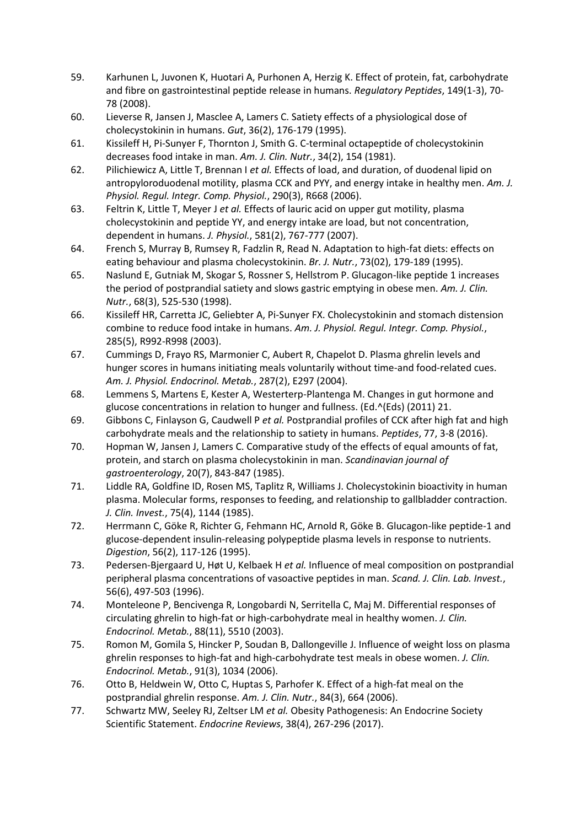- 59. Karhunen L, Juvonen K, Huotari A, Purhonen A, Herzig K. Effect of protein, fat, carbohydrate and fibre on gastrointestinal peptide release in humans. *Regulatory Peptides*, 149(1-3), 70- 78 (2008).
- 60. Lieverse R, Jansen J, Masclee A, Lamers C. Satiety effects of a physiological dose of cholecystokinin in humans. *Gut*, 36(2), 176-179 (1995).
- 61. Kissileff H, Pi-Sunyer F, Thornton J, Smith G. C-terminal octapeptide of cholecystokinin decreases food intake in man. *Am. J. Clin. Nutr.*, 34(2), 154 (1981).
- 62. Pilichiewicz A, Little T, Brennan I *et al.* Effects of load, and duration, of duodenal lipid on antropyloroduodenal motility, plasma CCK and PYY, and energy intake in healthy men. *Am. J. Physiol. Regul. Integr. Comp. Physiol.*, 290(3), R668 (2006).
- 63. Feltrin K, Little T, Meyer J *et al.* Effects of lauric acid on upper gut motility, plasma cholecystokinin and peptide YY, and energy intake are load, but not concentration, dependent in humans. *J. Physiol.*, 581(2), 767-777 (2007).
- 64. French S, Murray B, Rumsey R, Fadzlin R, Read N. Adaptation to high-fat diets: effects on eating behaviour and plasma cholecystokinin. *Br. J. Nutr.*, 73(02), 179-189 (1995).
- 65. Naslund E, Gutniak M, Skogar S, Rossner S, Hellstrom P. Glucagon-like peptide 1 increases the period of postprandial satiety and slows gastric emptying in obese men. *Am. J. Clin. Nutr.*, 68(3), 525-530 (1998).
- 66. Kissileff HR, Carretta JC, Geliebter A, Pi-Sunyer FX. Cholecystokinin and stomach distension combine to reduce food intake in humans. *Am. J. Physiol. Regul. Integr. Comp. Physiol.*, 285(5), R992-R998 (2003).
- 67. Cummings D, Frayo RS, Marmonier C, Aubert R, Chapelot D. Plasma ghrelin levels and hunger scores in humans initiating meals voluntarily without time-and food-related cues. *Am. J. Physiol. Endocrinol. Metab.*, 287(2), E297 (2004).
- 68. Lemmens S, Martens E, Kester A, Westerterp-Plantenga M. Changes in gut hormone and glucose concentrations in relation to hunger and fullness. (Ed.^(Eds) (2011) 21.
- 69. Gibbons C, Finlayson G, Caudwell P *et al.* Postprandial profiles of CCK after high fat and high carbohydrate meals and the relationship to satiety in humans. *Peptides*, 77, 3-8 (2016).
- 70. Hopman W, Jansen J, Lamers C. Comparative study of the effects of equal amounts of fat, protein, and starch on plasma cholecystokinin in man. *Scandinavian journal of gastroenterology*, 20(7), 843-847 (1985).
- 71. Liddle RA, Goldfine ID, Rosen MS, Taplitz R, Williams J. Cholecystokinin bioactivity in human plasma. Molecular forms, responses to feeding, and relationship to gallbladder contraction. *J. Clin. Invest.*, 75(4), 1144 (1985).
- 72. Herrmann C, Göke R, Richter G, Fehmann HC, Arnold R, Göke B. Glucagon-like peptide-1 and glucose-dependent insulin-releasing polypeptide plasma levels in response to nutrients. *Digestion*, 56(2), 117-126 (1995).
- 73. Pedersen-Bjergaard U, Høt U, Kelbaek H *et al.* Influence of meal composition on postprandial peripheral plasma concentrations of vasoactive peptides in man. *Scand. J. Clin. Lab. Invest.*, 56(6), 497-503 (1996).
- 74. Monteleone P, Bencivenga R, Longobardi N, Serritella C, Maj M. Differential responses of circulating ghrelin to high-fat or high-carbohydrate meal in healthy women. *J. Clin. Endocrinol. Metab.*, 88(11), 5510 (2003).
- 75. Romon M, Gomila S, Hincker P, Soudan B, Dallongeville J. Influence of weight loss on plasma ghrelin responses to high-fat and high-carbohydrate test meals in obese women. *J. Clin. Endocrinol. Metab.*, 91(3), 1034 (2006).
- 76. Otto B, Heldwein W, Otto C, Huptas S, Parhofer K. Effect of a high-fat meal on the postprandial ghrelin response. *Am. J. Clin. Nutr.*, 84(3), 664 (2006).
- 77. Schwartz MW, Seeley RJ, Zeltser LM *et al.* Obesity Pathogenesis: An Endocrine Society Scientific Statement. *Endocrine Reviews*, 38(4), 267-296 (2017).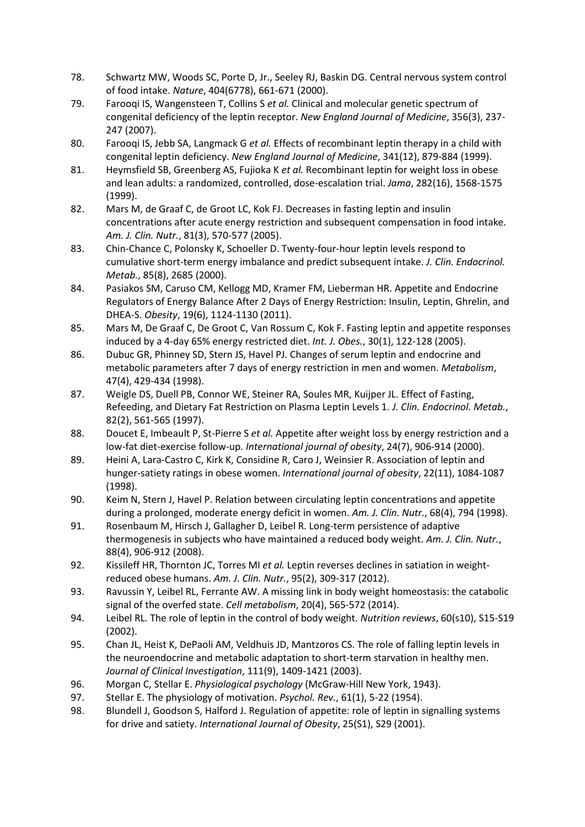- 78. Schwartz MW, Woods SC, Porte D, Jr., Seeley RJ, Baskin DG. Central nervous system control of food intake. *Nature*, 404(6778), 661-671 (2000).
- 79. Farooqi IS, Wangensteen T, Collins S *et al.* Clinical and molecular genetic spectrum of congenital deficiency of the leptin receptor. *New England Journal of Medicine*, 356(3), 237- 247 (2007).
- 80. Farooqi IS, Jebb SA, Langmack G *et al.* Effects of recombinant leptin therapy in a child with congenital leptin deficiency. *New England Journal of Medicine*, 341(12), 879-884 (1999).
- 81. Heymsfield SB, Greenberg AS, Fujioka K *et al.* Recombinant leptin for weight loss in obese and lean adults: a randomized, controlled, dose-escalation trial. *Jama*, 282(16), 1568-1575 (1999).
- 82. Mars M, de Graaf C, de Groot LC, Kok FJ. Decreases in fasting leptin and insulin concentrations after acute energy restriction and subsequent compensation in food intake. *Am. J. Clin. Nutr.*, 81(3), 570-577 (2005).
- 83. Chin-Chance C, Polonsky K, Schoeller D. Twenty-four-hour leptin levels respond to cumulative short-term energy imbalance and predict subsequent intake. *J. Clin. Endocrinol. Metab.*, 85(8), 2685 (2000).
- 84. Pasiakos SM, Caruso CM, Kellogg MD, Kramer FM, Lieberman HR. Appetite and Endocrine Regulators of Energy Balance After 2 Days of Energy Restriction: Insulin, Leptin, Ghrelin, and DHEA-S. *Obesity*, 19(6), 1124-1130 (2011).
- 85. Mars M, De Graaf C, De Groot C, Van Rossum C, Kok F. Fasting leptin and appetite responses induced by a 4-day 65% energy restricted diet. *Int. J. Obes.*, 30(1), 122-128 (2005).
- 86. Dubuc GR, Phinney SD, Stern JS, Havel PJ. Changes of serum leptin and endocrine and metabolic parameters after 7 days of energy restriction in men and women. *Metabolism*, 47(4), 429-434 (1998).
- 87. Weigle DS, Duell PB, Connor WE, Steiner RA, Soules MR, Kuijper JL. Effect of Fasting, Refeeding, and Dietary Fat Restriction on Plasma Leptin Levels 1. *J. Clin. Endocrinol. Metab.*, 82(2), 561-565 (1997).
- 88. Doucet E, Imbeault P, St-Pierre S *et al.* Appetite after weight loss by energy restriction and a low-fat diet-exercise follow-up. *International journal of obesity*, 24(7), 906-914 (2000).
- 89. Heini A, Lara-Castro C, Kirk K, Considine R, Caro J, Weinsier R. Association of leptin and hunger-satiety ratings in obese women. *International journal of obesity*, 22(11), 1084-1087 (1998).
- 90. Keim N, Stern J, Havel P. Relation between circulating leptin concentrations and appetite during a prolonged, moderate energy deficit in women. *Am. J. Clin. Nutr.*, 68(4), 794 (1998).
- 91. Rosenbaum M, Hirsch J, Gallagher D, Leibel R. Long-term persistence of adaptive thermogenesis in subjects who have maintained a reduced body weight. *Am. J. Clin. Nutr.*, 88(4), 906-912 (2008).
- 92. Kissileff HR, Thornton JC, Torres MI *et al.* Leptin reverses declines in satiation in weightreduced obese humans. *Am. J. Clin. Nutr.*, 95(2), 309-317 (2012).
- 93. Ravussin Y, Leibel RL, Ferrante AW. A missing link in body weight homeostasis: the catabolic signal of the overfed state. *Cell metabolism*, 20(4), 565-572 (2014).
- 94. Leibel RL. The role of leptin in the control of body weight. *Nutrition reviews*, 60(s10), S15-S19 (2002).
- 95. Chan JL, Heist K, DePaoli AM, Veldhuis JD, Mantzoros CS. The role of falling leptin levels in the neuroendocrine and metabolic adaptation to short-term starvation in healthy men. *Journal of Clinical Investigation*, 111(9), 1409-1421 (2003).
- 96. Morgan C, Stellar E. *Physiological psychology* (McGraw-Hill New York, 1943).
- 97. Stellar E. The physiology of motivation. *Psychol. Rev.*, 61(1), 5-22 (1954).
- 98. Blundell J, Goodson S, Halford J. Regulation of appetite: role of leptin in signalling systems for drive and satiety. *International Journal of Obesity*, 25(S1), S29 (2001).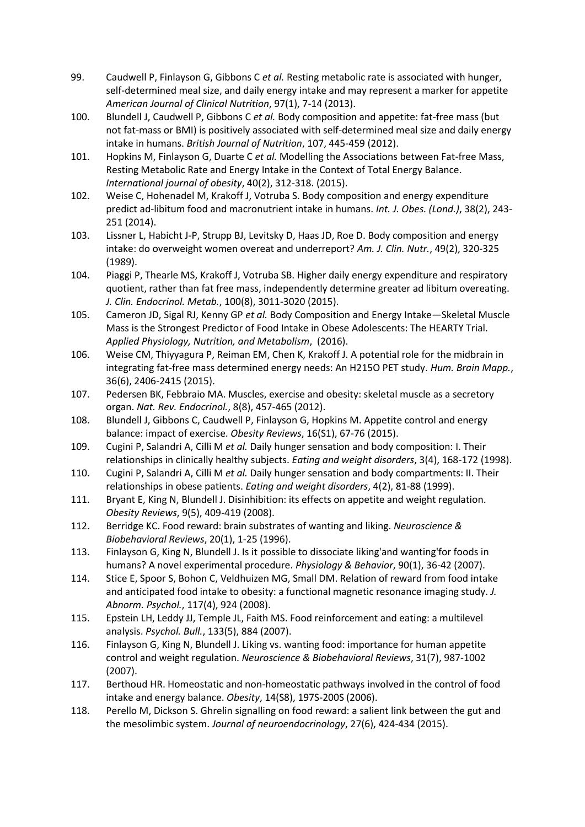- 99. Caudwell P, Finlayson G, Gibbons C *et al.* Resting metabolic rate is associated with hunger, self-determined meal size, and daily energy intake and may represent a marker for appetite *American Journal of Clinical Nutrition*, 97(1), 7-14 (2013).
- 100. Blundell J, Caudwell P, Gibbons C *et al.* Body composition and appetite: fat-free mass (but not fat-mass or BMI) is positively associated with self-determined meal size and daily energy intake in humans. *British Journal of Nutrition*, 107, 445-459 (2012).
- 101. Hopkins M, Finlayson G, Duarte C *et al.* Modelling the Associations between Fat-free Mass, Resting Metabolic Rate and Energy Intake in the Context of Total Energy Balance. *International journal of obesity*, 40(2), 312-318. (2015).
- 102. Weise C, Hohenadel M, Krakoff J, Votruba S. Body composition and energy expenditure predict ad-libitum food and macronutrient intake in humans. *Int. J. Obes. (Lond.)*, 38(2), 243- 251 (2014).
- 103. Lissner L, Habicht J-P, Strupp BJ, Levitsky D, Haas JD, Roe D. Body composition and energy intake: do overweight women overeat and underreport? *Am. J. Clin. Nutr.*, 49(2), 320-325 (1989).
- 104. Piaggi P, Thearle MS, Krakoff J, Votruba SB. Higher daily energy expenditure and respiratory quotient, rather than fat free mass, independently determine greater ad libitum overeating. *J. Clin. Endocrinol. Metab.*, 100(8), 3011-3020 (2015).
- 105. Cameron JD, Sigal RJ, Kenny GP *et al.* Body Composition and Energy Intake—Skeletal Muscle Mass is the Strongest Predictor of Food Intake in Obese Adolescents: The HEARTY Trial. *Applied Physiology, Nutrition, and Metabolism*, (2016).
- 106. Weise CM, Thiyyagura P, Reiman EM, Chen K, Krakoff J. A potential role for the midbrain in integrating fat‐free mass determined energy needs: An H215O PET study. *Hum. Brain Mapp.*, 36(6), 2406-2415 (2015).
- 107. Pedersen BK, Febbraio MA. Muscles, exercise and obesity: skeletal muscle as a secretory organ. *Nat. Rev. Endocrinol.*, 8(8), 457-465 (2012).
- 108. Blundell J, Gibbons C, Caudwell P, Finlayson G, Hopkins M. Appetite control and energy balance: impact of exercise. *Obesity Reviews*, 16(S1), 67-76 (2015).
- 109. Cugini P, Salandri A, Cilli M *et al.* Daily hunger sensation and body composition: I. Their relationships in clinically healthy subjects. *Eating and weight disorders*, 3(4), 168-172 (1998).
- 110. Cugini P, Salandri A, Cilli M *et al.* Daily hunger sensation and body compartments: II. Their relationships in obese patients. *Eating and weight disorders*, 4(2), 81-88 (1999).
- 111. Bryant E, King N, Blundell J. Disinhibition: its effects on appetite and weight regulation. *Obesity Reviews*, 9(5), 409-419 (2008).
- 112. Berridge KC. Food reward: brain substrates of wanting and liking. *Neuroscience & Biobehavioral Reviews*, 20(1), 1-25 (1996).
- 113. Finlayson G, King N, Blundell J. Is it possible to dissociate liking'and wanting'for foods in humans? A novel experimental procedure. *Physiology & Behavior*, 90(1), 36-42 (2007).
- 114. Stice E, Spoor S, Bohon C, Veldhuizen MG, Small DM. Relation of reward from food intake and anticipated food intake to obesity: a functional magnetic resonance imaging study. *J. Abnorm. Psychol.*, 117(4), 924 (2008).
- 115. Epstein LH, Leddy JJ, Temple JL, Faith MS. Food reinforcement and eating: a multilevel analysis. *Psychol. Bull.*, 133(5), 884 (2007).
- 116. Finlayson G, King N, Blundell J. Liking vs. wanting food: importance for human appetite control and weight regulation. *Neuroscience & Biobehavioral Reviews*, 31(7), 987-1002 (2007).
- 117. Berthoud HR. Homeostatic and non-homeostatic pathways involved in the control of food intake and energy balance. *Obesity*, 14(S8), 197S-200S (2006).
- 118. Perello M, Dickson S. Ghrelin signalling on food reward: a salient link between the gut and the mesolimbic system. *Journal of neuroendocrinology*, 27(6), 424-434 (2015).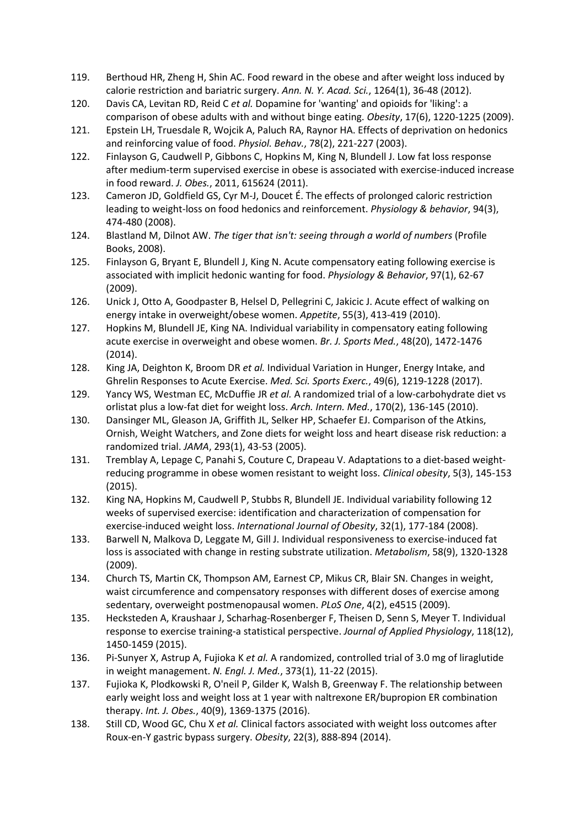- 119. Berthoud HR, Zheng H, Shin AC. Food reward in the obese and after weight loss induced by calorie restriction and bariatric surgery. *Ann. N. Y. Acad. Sci.*, 1264(1), 36-48 (2012).
- 120. Davis CA, Levitan RD, Reid C *et al.* Dopamine for 'wanting' and opioids for 'liking': a comparison of obese adults with and without binge eating. *Obesity*, 17(6), 1220-1225 (2009).
- 121. Epstein LH, Truesdale R, Wojcik A, Paluch RA, Raynor HA. Effects of deprivation on hedonics and reinforcing value of food. *Physiol. Behav.*, 78(2), 221-227 (2003).
- 122. Finlayson G, Caudwell P, Gibbons C, Hopkins M, King N, Blundell J. Low fat loss response after medium-term supervised exercise in obese is associated with exercise-induced increase in food reward. *J. Obes.*, 2011, 615624 (2011).
- 123. Cameron JD, Goldfield GS, Cyr M-J, Doucet É. The effects of prolonged caloric restriction leading to weight-loss on food hedonics and reinforcement. *Physiology & behavior*, 94(3), 474-480 (2008).
- 124. Blastland M, Dilnot AW. *The tiger that isn't: seeing through a world of numbers* (Profile Books, 2008).
- 125. Finlayson G, Bryant E, Blundell J, King N. Acute compensatory eating following exercise is associated with implicit hedonic wanting for food. *Physiology & Behavior*, 97(1), 62-67 (2009).
- 126. Unick J, Otto A, Goodpaster B, Helsel D, Pellegrini C, Jakicic J. Acute effect of walking on energy intake in overweight/obese women. *Appetite*, 55(3), 413-419 (2010).
- 127. Hopkins M, Blundell JE, King NA. Individual variability in compensatory eating following acute exercise in overweight and obese women. *Br. J. Sports Med.*, 48(20), 1472-1476 (2014).
- 128. King JA, Deighton K, Broom DR *et al.* Individual Variation in Hunger, Energy Intake, and Ghrelin Responses to Acute Exercise. *Med. Sci. Sports Exerc.*, 49(6), 1219-1228 (2017).
- 129. Yancy WS, Westman EC, McDuffie JR *et al.* A randomized trial of a low-carbohydrate diet vs orlistat plus a low-fat diet for weight loss. *Arch. Intern. Med.*, 170(2), 136-145 (2010).
- 130. Dansinger ML, Gleason JA, Griffith JL, Selker HP, Schaefer EJ. Comparison of the Atkins, Ornish, Weight Watchers, and Zone diets for weight loss and heart disease risk reduction: a randomized trial. *JAMA*, 293(1), 43-53 (2005).
- 131. Tremblay A, Lepage C, Panahi S, Couture C, Drapeau V, Adaptations to a diet-based weightreducing programme in obese women resistant to weight loss. *Clinical obesity*, 5(3), 145-153 (2015).
- 132. King NA, Hopkins M, Caudwell P, Stubbs R, Blundell JE. Individual variability following 12 weeks of supervised exercise: identification and characterization of compensation for exercise-induced weight loss. *International Journal of Obesity*, 32(1), 177-184 (2008).
- 133. Barwell N, Malkova D, Leggate M, Gill J. Individual responsiveness to exercise-induced fat loss is associated with change in resting substrate utilization. *Metabolism*, 58(9), 1320-1328 (2009).
- 134. Church TS, Martin CK, Thompson AM, Earnest CP, Mikus CR, Blair SN. Changes in weight, waist circumference and compensatory responses with different doses of exercise among sedentary, overweight postmenopausal women. *PLoS One*, 4(2), e4515 (2009).
- 135. Hecksteden A, Kraushaar J, Scharhag-Rosenberger F, Theisen D, Senn S, Meyer T. Individual response to exercise training-a statistical perspective. *Journal of Applied Physiology*, 118(12), 1450-1459 (2015).
- 136. Pi-Sunyer X, Astrup A, Fujioka K *et al.* A randomized, controlled trial of 3.0 mg of liraglutide in weight management. *N. Engl. J. Med.*, 373(1), 11-22 (2015).
- 137. Fujioka K, Plodkowski R, O'neil P, Gilder K, Walsh B, Greenway F. The relationship between early weight loss and weight loss at 1 year with naltrexone ER/bupropion ER combination therapy. *Int. J. Obes.*, 40(9), 1369-1375 (2016).
- 138. Still CD, Wood GC, Chu X *et al.* Clinical factors associated with weight loss outcomes after Roux‐en‐Y gastric bypass surgery. *Obesity*, 22(3), 888-894 (2014).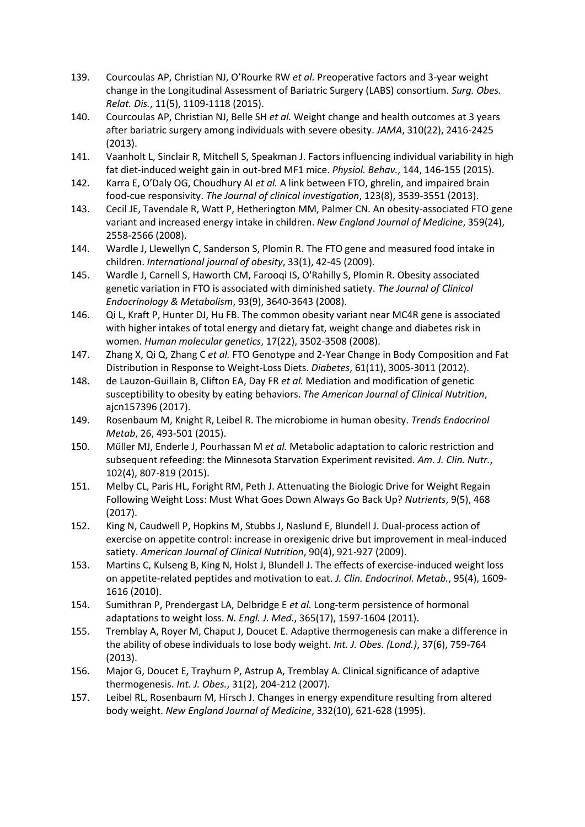- 139. Courcoulas AP, Christian NJ, O'Rourke RW *et al.* Preoperative factors and 3-year weight change in the Longitudinal Assessment of Bariatric Surgery (LABS) consortium. *Surg. Obes. Relat. Dis.*, 11(5), 1109-1118 (2015).
- 140. Courcoulas AP, Christian NJ, Belle SH *et al.* Weight change and health outcomes at 3 years after bariatric surgery among individuals with severe obesity. *JAMA*, 310(22), 2416-2425 (2013).
- 141. Vaanholt L, Sinclair R, Mitchell S, Speakman J. Factors influencing individual variability in high fat diet-induced weight gain in out-bred MF1 mice. *Physiol. Behav.*, 144, 146-155 (2015).
- 142. Karra E, O'Daly OG, Choudhury AI *et al.* A link between FTO, ghrelin, and impaired brain food-cue responsivity. *The Journal of clinical investigation*, 123(8), 3539-3551 (2013).
- 143. Cecil JE, Tavendale R, Watt P, Hetherington MM, Palmer CN. An obesity-associated FTO gene variant and increased energy intake in children. *New England Journal of Medicine*, 359(24), 2558-2566 (2008).
- 144. Wardle J, Llewellyn C, Sanderson S, Plomin R. The FTO gene and measured food intake in children. *International journal of obesity*, 33(1), 42-45 (2009).
- 145. Wardle J, Carnell S, Haworth CM, Farooqi IS, O'Rahilly S, Plomin R. Obesity associated genetic variation in FTO is associated with diminished satiety. *The Journal of Clinical Endocrinology & Metabolism*, 93(9), 3640-3643 (2008).
- 146. Qi L, Kraft P, Hunter DJ, Hu FB. The common obesity variant near MC4R gene is associated with higher intakes of total energy and dietary fat, weight change and diabetes risk in women. *Human molecular genetics*, 17(22), 3502-3508 (2008).
- 147. Zhang X, Qi Q, Zhang C *et al.* FTO Genotype and 2-Year Change in Body Composition and Fat Distribution in Response to Weight-Loss Diets. *Diabetes*, 61(11), 3005-3011 (2012).
- 148. de Lauzon-Guillain B, Clifton EA, Day FR *et al.* Mediation and modification of genetic susceptibility to obesity by eating behaviors. *The American Journal of Clinical Nutrition*, ajcn157396 (2017).
- 149. Rosenbaum M, Knight R, Leibel R. The microbiome in human obesity. *Trends Endocrinol Metab*, 26, 493-501 (2015).
- 150. Müller MJ, Enderle J, Pourhassan M *et al.* Metabolic adaptation to caloric restriction and subsequent refeeding: the Minnesota Starvation Experiment revisited. *Am. J. Clin. Nutr.*, 102(4), 807-819 (2015).
- 151. Melby CL, Paris HL, Foright RM, Peth J. Attenuating the Biologic Drive for Weight Regain Following Weight Loss: Must What Goes Down Always Go Back Up? *Nutrients*, 9(5), 468 (2017).
- 152. King N, Caudwell P, Hopkins M, Stubbs J, Naslund E, Blundell J. Dual-process action of exercise on appetite control: increase in orexigenic drive but improvement in meal-induced satiety. *American Journal of Clinical Nutrition*, 90(4), 921-927 (2009).
- 153. Martins C, Kulseng B, King N, Holst J, Blundell J. The effects of exercise-induced weight loss on appetite-related peptides and motivation to eat. *J. Clin. Endocrinol. Metab.*, 95(4), 1609- 1616 (2010).
- 154. Sumithran P, Prendergast LA, Delbridge E *et al.* Long-term persistence of hormonal adaptations to weight loss. *N. Engl. J. Med.*, 365(17), 1597-1604 (2011).
- 155. Tremblay A, Royer M, Chaput J, Doucet E. Adaptive thermogenesis can make a difference in the ability of obese individuals to lose body weight. *Int. J. Obes. (Lond.)*, 37(6), 759-764 (2013).
- 156. Major G, Doucet E, Trayhurn P, Astrup A, Tremblay A. Clinical significance of adaptive thermogenesis. *Int. J. Obes.*, 31(2), 204-212 (2007).
- 157. Leibel RL, Rosenbaum M, Hirsch J. Changes in energy expenditure resulting from altered body weight. *New England Journal of Medicine*, 332(10), 621-628 (1995).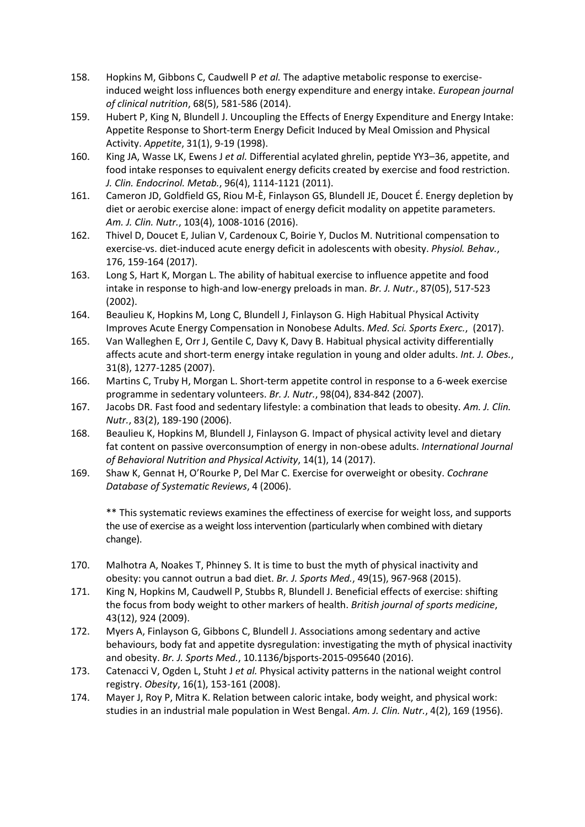- 158. Hopkins M, Gibbons C, Caudwell P *et al.* The adaptive metabolic response to exerciseinduced weight loss influences both energy expenditure and energy intake. *European journal of clinical nutrition*, 68(5), 581-586 (2014).
- 159. Hubert P, King N, Blundell J. Uncoupling the Effects of Energy Expenditure and Energy Intake: Appetite Response to Short-term Energy Deficit Induced by Meal Omission and Physical Activity. *Appetite*, 31(1), 9-19 (1998).
- 160. King JA, Wasse LK, Ewens J *et al.* Differential acylated ghrelin, peptide YY3–36, appetite, and food intake responses to equivalent energy deficits created by exercise and food restriction. *J. Clin. Endocrinol. Metab.*, 96(4), 1114-1121 (2011).
- 161. Cameron JD, Goldfield GS, Riou M-È, Finlayson GS, Blundell JE, Doucet É. Energy depletion by diet or aerobic exercise alone: impact of energy deficit modality on appetite parameters. *Am. J. Clin. Nutr.*, 103(4), 1008-1016 (2016).
- 162. Thivel D, Doucet E, Julian V, Cardenoux C, Boirie Y, Duclos M. Nutritional compensation to exercise-vs. diet-induced acute energy deficit in adolescents with obesity. *Physiol. Behav.*, 176, 159-164 (2017).
- 163. Long S, Hart K, Morgan L. The ability of habitual exercise to influence appetite and food intake in response to high-and low-energy preloads in man. *Br. J. Nutr.*, 87(05), 517-523 (2002).
- 164. Beaulieu K, Hopkins M, Long C, Blundell J, Finlayson G. High Habitual Physical Activity Improves Acute Energy Compensation in Nonobese Adults. *Med. Sci. Sports Exerc.*, (2017).
- 165. Van Walleghen E, Orr J, Gentile C, Davy K, Davy B. Habitual physical activity differentially affects acute and short-term energy intake regulation in young and older adults. *Int. J. Obes.*, 31(8), 1277-1285 (2007).
- 166. Martins C, Truby H, Morgan L. Short-term appetite control in response to a 6-week exercise programme in sedentary volunteers. *Br. J. Nutr.*, 98(04), 834-842 (2007).
- 167. Jacobs DR. Fast food and sedentary lifestyle: a combination that leads to obesity. *Am. J. Clin. Nutr.*, 83(2), 189-190 (2006).
- 168. Beaulieu K, Hopkins M, Blundell J, Finlayson G. Impact of physical activity level and dietary fat content on passive overconsumption of energy in non-obese adults. *International Journal of Behavioral Nutrition and Physical Activity*, 14(1), 14 (2017).
- 169. Shaw K, Gennat H, O'Rourke P, Del Mar C. Exercise for overweight or obesity. *Cochrane Database of Systematic Reviews*, 4 (2006).

\*\* This systematic reviews examines the effectiness of exercise for weight loss, and supports the use of exercise as a weight loss intervention (particularly when combined with dietary change).

- 170. Malhotra A, Noakes T, Phinney S. It is time to bust the myth of physical inactivity and obesity: you cannot outrun a bad diet. *Br. J. Sports Med.*, 49(15), 967-968 (2015).
- 171. King N, Hopkins M, Caudwell P, Stubbs R, Blundell J. Beneficial effects of exercise: shifting the focus from body weight to other markers of health. *British journal of sports medicine*, 43(12), 924 (2009).
- 172. Myers A, Finlayson G, Gibbons C, Blundell J. Associations among sedentary and active behaviours, body fat and appetite dysregulation: investigating the myth of physical inactivity and obesity. *Br. J. Sports Med.*, 10.1136/bjsports-2015-095640 (2016).
- 173. Catenacci V, Ogden L, Stuht J *et al.* Physical activity patterns in the national weight control registry. *Obesity*, 16(1), 153-161 (2008).
- 174. Mayer J, Roy P, Mitra K. Relation between caloric intake, body weight, and physical work: studies in an industrial male population in West Bengal. *Am. J. Clin. Nutr.*, 4(2), 169 (1956).